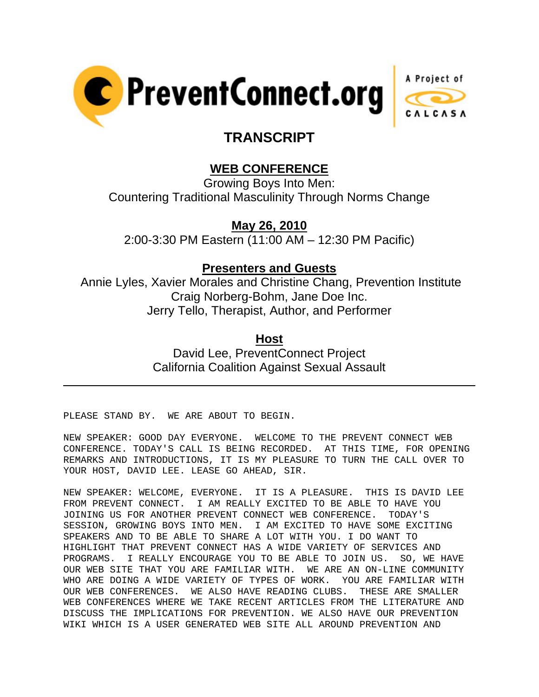



## **TRANSCRIPT**

## **WEB CONFERENCE**

Growing Boys Into Men: Countering Traditional Masculinity Through Norms Change

**May 26, 2010**

2:00-3:30 PM Eastern (11:00 AM – 12:30 PM Pacific)

## **Presenters and Guests**

 Annie Lyles, Xavier Morales and Christine Chang, Prevention Institute Craig Norberg-Bohm, Jane Doe Inc. Jerry Tello, Therapist, Author, and Performer

**Host**

David Lee, PreventConnect Project California Coalition Against Sexual Assault

PLEASE STAND BY. WE ARE ABOUT TO BEGIN.

l

NEW SPEAKER: GOOD DAY EVERYONE. WELCOME TO THE PREVENT CONNECT WEB CONFERENCE. TODAY'S CALL IS BEING RECORDED. AT THIS TIME, FOR OPENING REMARKS AND INTRODUCTIONS, IT IS MY PLEASURE TO TURN THE CALL OVER TO YOUR HOST, DAVID LEE. LEASE GO AHEAD, SIR.

NEW SPEAKER: WELCOME, EVERYONE. IT IS A PLEASURE. THIS IS DAVID LEE FROM PREVENT CONNECT. I AM REALLY EXCITED TO BE ABLE TO HAVE YOU JOINING US FOR ANOTHER PREVENT CONNECT WEB CONFERENCE. TODAY'S SESSION, GROWING BOYS INTO MEN. I AM EXCITED TO HAVE SOME EXCITING SPEAKERS AND TO BE ABLE TO SHARE A LOT WITH YOU. I DO WANT TO HIGHLIGHT THAT PREVENT CONNECT HAS A WIDE VARIETY OF SERVICES AND PROGRAMS. I REALLY ENCOURAGE YOU TO BE ABLE TO JOIN US. SO, WE HAVE OUR WEB SITE THAT YOU ARE FAMILIAR WITH. WE ARE AN ON-LINE COMMUNITY WHO ARE DOING A WIDE VARIETY OF TYPES OF WORK. YOU ARE FAMILIAR WITH OUR WEB CONFERENCES. WE ALSO HAVE READING CLUBS. THESE ARE SMALLER WEB CONFERENCES WHERE WE TAKE RECENT ARTICLES FROM THE LITERATURE AND DISCUSS THE IMPLICATIONS FOR PREVENTION. WE ALSO HAVE OUR PREVENTION WIKI WHICH IS A USER GENERATED WEB SITE ALL AROUND PREVENTION AND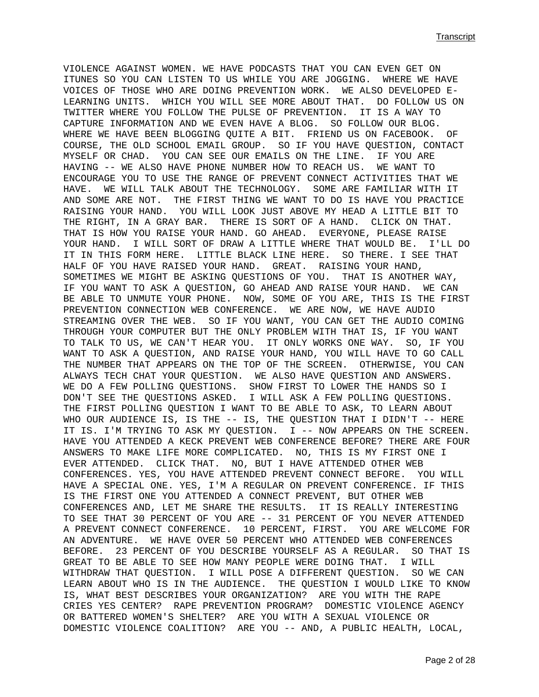VIOLENCE AGAINST WOMEN. WE HAVE PODCASTS THAT YOU CAN EVEN GET ON ITUNES SO YOU CAN LISTEN TO US WHILE YOU ARE JOGGING. WHERE WE HAVE VOICES OF THOSE WHO ARE DOING PREVENTION WORK. WE ALSO DEVELOPED E-LEARNING UNITS. WHICH YOU WILL SEE MORE ABOUT THAT. DO FOLLOW US ON TWITTER WHERE YOU FOLLOW THE PULSE OF PREVENTION. IT IS A WAY TO CAPTURE INFORMATION AND WE EVEN HAVE A BLOG. SO FOLLOW OUR BLOG. WHERE WE HAVE BEEN BLOGGING QUITE A BIT. FRIEND US ON FACEBOOK. OF COURSE, THE OLD SCHOOL EMAIL GROUP. SO IF YOU HAVE QUESTION, CONTACT MYSELF OR CHAD. YOU CAN SEE OUR EMAILS ON THE LINE. IF YOU ARE HAVING -- WE ALSO HAVE PHONE NUMBER HOW TO REACH US. WE WANT TO ENCOURAGE YOU TO USE THE RANGE OF PREVENT CONNECT ACTIVITIES THAT WE HAVE. WE WILL TALK ABOUT THE TECHNOLOGY. SOME ARE FAMILIAR WITH IT AND SOME ARE NOT. THE FIRST THING WE WANT TO DO IS HAVE YOU PRACTICE RAISING YOUR HAND. YOU WILL LOOK JUST ABOVE MY HEAD A LITTLE BIT TO THE RIGHT, IN A GRAY BAR. THERE IS SORT OF A HAND. CLICK ON THAT. THAT IS HOW YOU RAISE YOUR HAND. GO AHEAD. EVERYONE, PLEASE RAISE YOUR HAND. I WILL SORT OF DRAW A LITTLE WHERE THAT WOULD BE. I'LL DO IT IN THIS FORM HERE. LITTLE BLACK LINE HERE. SO THERE. I SEE THAT HALF OF YOU HAVE RAISED YOUR HAND. GREAT. RAISING YOUR HAND, SOMETIMES WE MIGHT BE ASKING QUESTIONS OF YOU. THAT IS ANOTHER WAY, IF YOU WANT TO ASK A QUESTION, GO AHEAD AND RAISE YOUR HAND. WE CAN BE ABLE TO UNMUTE YOUR PHONE. NOW, SOME OF YOU ARE, THIS IS THE FIRST PREVENTION CONNECTION WEB CONFERENCE. WE ARE NOW, WE HAVE AUDIO STREAMING OVER THE WEB. SO IF YOU WANT, YOU CAN GET THE AUDIO COMING THROUGH YOUR COMPUTER BUT THE ONLY PROBLEM WITH THAT IS, IF YOU WANT TO TALK TO US, WE CAN'T HEAR YOU. IT ONLY WORKS ONE WAY. SO, IF YOU WANT TO ASK A QUESTION, AND RAISE YOUR HAND, YOU WILL HAVE TO GO CALL THE NUMBER THAT APPEARS ON THE TOP OF THE SCREEN. OTHERWISE, YOU CAN ALWAYS TECH CHAT YOUR QUESTION. WE ALSO HAVE QUESTION AND ANSWERS. WE DO A FEW POLLING QUESTIONS. SHOW FIRST TO LOWER THE HANDS SO I DON'T SEE THE QUESTIONS ASKED. I WILL ASK A FEW POLLING QUESTIONS. THE FIRST POLLING QUESTION I WANT TO BE ABLE TO ASK, TO LEARN ABOUT WHO OUR AUDIENCE IS, IS THE -- IS, THE QUESTION THAT I DIDN'T -- HERE IT IS. I'M TRYING TO ASK MY QUESTION. I -- NOW APPEARS ON THE SCREEN. HAVE YOU ATTENDED A KECK PREVENT WEB CONFERENCE BEFORE? THERE ARE FOUR ANSWERS TO MAKE LIFE MORE COMPLICATED. NO, THIS IS MY FIRST ONE I EVER ATTENDED. CLICK THAT. NO, BUT I HAVE ATTENDED OTHER WEB CONFERENCES. YES, YOU HAVE ATTENDED PREVENT CONNECT BEFORE. YOU WILL HAVE A SPECIAL ONE. YES, I'M A REGULAR ON PREVENT CONFERENCE. IF THIS IS THE FIRST ONE YOU ATTENDED A CONNECT PREVENT, BUT OTHER WEB CONFERENCES AND, LET ME SHARE THE RESULTS. IT IS REALLY INTERESTING TO SEE THAT 30 PERCENT OF YOU ARE -- 31 PERCENT OF YOU NEVER ATTENDED A PREVENT CONNECT CONFERENCE. 10 PERCENT, FIRST. YOU ARE WELCOME FOR AN ADVENTURE. WE HAVE OVER 50 PERCENT WHO ATTENDED WEB CONFERENCES BEFORE. 23 PERCENT OF YOU DESCRIBE YOURSELF AS A REGULAR. SO THAT IS GREAT TO BE ABLE TO SEE HOW MANY PEOPLE WERE DOING THAT. I WILL WITHDRAW THAT QUESTION. I WILL POSE A DIFFERENT QUESTION. SO WE CAN LEARN ABOUT WHO IS IN THE AUDIENCE. THE QUESTION I WOULD LIKE TO KNOW IS, WHAT BEST DESCRIBES YOUR ORGANIZATION? ARE YOU WITH THE RAPE CRIES YES CENTER? RAPE PREVENTION PROGRAM? DOMESTIC VIOLENCE AGENCY OR BATTERED WOMEN'S SHELTER? ARE YOU WITH A SEXUAL VIOLENCE OR DOMESTIC VIOLENCE COALITION? ARE YOU -- AND, A PUBLIC HEALTH, LOCAL,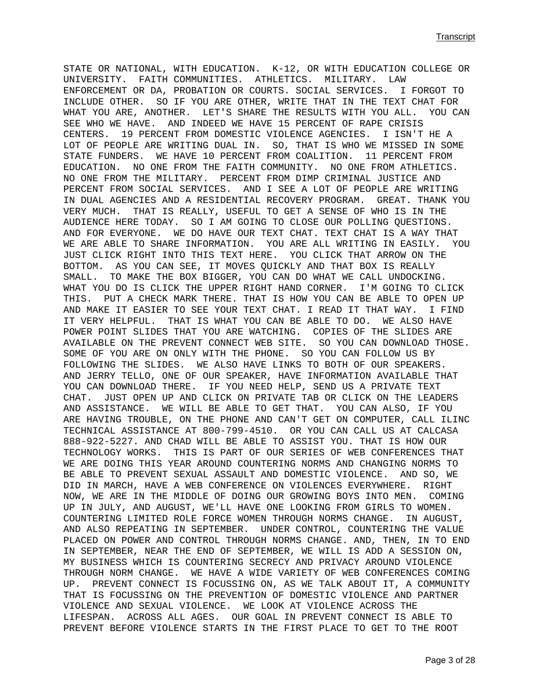STATE OR NATIONAL, WITH EDUCATION. K-12, OR WITH EDUCATION COLLEGE OR UNIVERSITY. FAITH COMMUNITIES. ATHLETICS. MILITARY. LAW ENFORCEMENT OR DA, PROBATION OR COURTS. SOCIAL SERVICES. I FORGOT TO INCLUDE OTHER. SO IF YOU ARE OTHER, WRITE THAT IN THE TEXT CHAT FOR WHAT YOU ARE, ANOTHER. LET'S SHARE THE RESULTS WITH YOU ALL. YOU CAN SEE WHO WE HAVE. AND INDEED WE HAVE 15 PERCENT OF RAPE CRISIS CENTERS. 19 PERCENT FROM DOMESTIC VIOLENCE AGENCIES. I ISN'T HE A LOT OF PEOPLE ARE WRITING DUAL IN. SO, THAT IS WHO WE MISSED IN SOME STATE FUNDERS. WE HAVE 10 PERCENT FROM COALITION. 11 PERCENT FROM EDUCATION. NO ONE FROM THE FAITH COMMUNITY. NO ONE FROM ATHLETICS. NO ONE FROM THE MILITARY. PERCENT FROM DIMP CRIMINAL JUSTICE AND PERCENT FROM SOCIAL SERVICES. AND I SEE A LOT OF PEOPLE ARE WRITING IN DUAL AGENCIES AND A RESIDENTIAL RECOVERY PROGRAM. GREAT. THANK YOU VERY MUCH. THAT IS REALLY, USEFUL TO GET A SENSE OF WHO IS IN THE AUDIENCE HERE TODAY. SO I AM GOING TO CLOSE OUR POLLING QUESTIONS. AND FOR EVERYONE. WE DO HAVE OUR TEXT CHAT. TEXT CHAT IS A WAY THAT WE ARE ABLE TO SHARE INFORMATION. YOU ARE ALL WRITING IN EASILY. YOU JUST CLICK RIGHT INTO THIS TEXT HERE. YOU CLICK THAT ARROW ON THE BOTTOM. AS YOU CAN SEE, IT MOVES QUICKLY AND THAT BOX IS REALLY SMALL. TO MAKE THE BOX BIGGER, YOU CAN DO WHAT WE CALL UNDOCKING. WHAT YOU DO IS CLICK THE UPPER RIGHT HAND CORNER. I'M GOING TO CLICK THIS. PUT A CHECK MARK THERE. THAT IS HOW YOU CAN BE ABLE TO OPEN UP AND MAKE IT EASIER TO SEE YOUR TEXT CHAT. I READ IT THAT WAY. I FIND IT VERY HELPFUL. THAT IS WHAT YOU CAN BE ABLE TO DO. WE ALSO HAVE POWER POINT SLIDES THAT YOU ARE WATCHING. COPIES OF THE SLIDES ARE AVAILABLE ON THE PREVENT CONNECT WEB SITE. SO YOU CAN DOWNLOAD THOSE. SOME OF YOU ARE ON ONLY WITH THE PHONE. SO YOU CAN FOLLOW US BY FOLLOWING THE SLIDES. WE ALSO HAVE LINKS TO BOTH OF OUR SPEAKERS. AND JERRY TELLO, ONE OF OUR SPEAKER, HAVE INFORMATION AVAILABLE THAT YOU CAN DOWNLOAD THERE. IF YOU NEED HELP, SEND US A PRIVATE TEXT CHAT. JUST OPEN UP AND CLICK ON PRIVATE TAB OR CLICK ON THE LEADERS AND ASSISTANCE. WE WILL BE ABLE TO GET THAT. YOU CAN ALSO, IF YOU ARE HAVING TROUBLE, ON THE PHONE AND CAN'T GET ON COMPUTER, CALL ILINC TECHNICAL ASSISTANCE AT 800-799-4510. OR YOU CAN CALL US AT CALCASA 888-922-5227. AND CHAD WILL BE ABLE TO ASSIST YOU. THAT IS HOW OUR TECHNOLOGY WORKS. THIS IS PART OF OUR SERIES OF WEB CONFERENCES THAT WE ARE DOING THIS YEAR AROUND COUNTERING NORMS AND CHANGING NORMS TO BE ABLE TO PREVENT SEXUAL ASSAULT AND DOMESTIC VIOLENCE. AND SO, WE DID IN MARCH, HAVE A WEB CONFERENCE ON VIOLENCES EVERYWHERE. RIGHT NOW, WE ARE IN THE MIDDLE OF DOING OUR GROWING BOYS INTO MEN. COMING UP IN JULY, AND AUGUST, WE'LL HAVE ONE LOOKING FROM GIRLS TO WOMEN. COUNTERING LIMITED ROLE FORCE WOMEN THROUGH NORMS CHANGE. IN AUGUST, AND ALSO REPEATING IN SEPTEMBER. UNDER CONTROL, COUNTERING THE VALUE PLACED ON POWER AND CONTROL THROUGH NORMS CHANGE. AND, THEN, IN TO END IN SEPTEMBER, NEAR THE END OF SEPTEMBER, WE WILL IS ADD A SESSION ON, MY BUSINESS WHICH IS COUNTERING SECRECY AND PRIVACY AROUND VIOLENCE THROUGH NORM CHANGE. WE HAVE A WIDE VARIETY OF WEB CONFERENCES COMING UP. PREVENT CONNECT IS FOCUSSING ON, AS WE TALK ABOUT IT, A COMMUNITY THAT IS FOCUSSING ON THE PREVENTION OF DOMESTIC VIOLENCE AND PARTNER VIOLENCE AND SEXUAL VIOLENCE. WE LOOK AT VIOLENCE ACROSS THE LIFESPAN. ACROSS ALL AGES. OUR GOAL IN PREVENT CONNECT IS ABLE TO PREVENT BEFORE VIOLENCE STARTS IN THE FIRST PLACE TO GET TO THE ROOT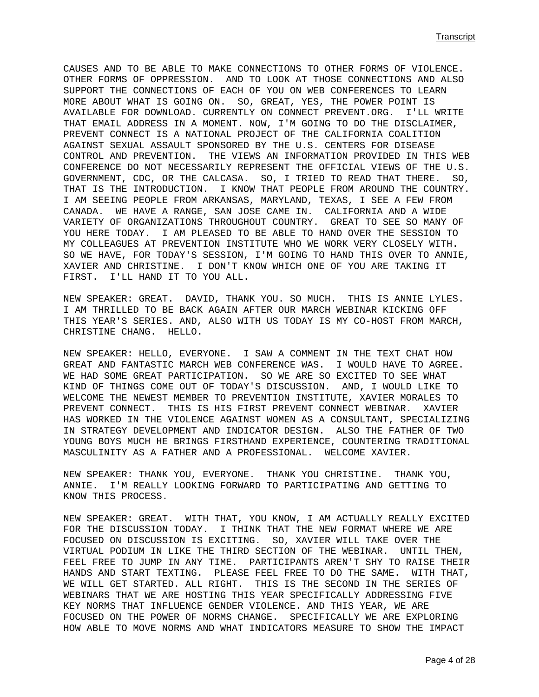CAUSES AND TO BE ABLE TO MAKE CONNECTIONS TO OTHER FORMS OF VIOLENCE. OTHER FORMS OF OPPRESSION. AND TO LOOK AT THOSE CONNECTIONS AND ALSO SUPPORT THE CONNECTIONS OF EACH OF YOU ON WEB CONFERENCES TO LEARN MORE ABOUT WHAT IS GOING ON. SO, GREAT, YES, THE POWER POINT IS AVAILABLE FOR DOWNLOAD. CURRENTLY ON CONNECT PREVENT.ORG. I'LL WRITE THAT EMAIL ADDRESS IN A MOMENT. NOW, I'M GOING TO DO THE DISCLAIMER, PREVENT CONNECT IS A NATIONAL PROJECT OF THE CALIFORNIA COALITION AGAINST SEXUAL ASSAULT SPONSORED BY THE U.S. CENTERS FOR DISEASE CONTROL AND PREVENTION. THE VIEWS AN INFORMATION PROVIDED IN THIS WEB CONFERENCE DO NOT NECESSARILY REPRESENT THE OFFICIAL VIEWS OF THE U.S. GOVERNMENT, CDC, OR THE CALCASA. SO, I TRIED TO READ THAT THERE. SO, THAT IS THE INTRODUCTION. I KNOW THAT PEOPLE FROM AROUND THE COUNTRY. I AM SEEING PEOPLE FROM ARKANSAS, MARYLAND, TEXAS, I SEE A FEW FROM CANADA. WE HAVE A RANGE, SAN JOSE CAME IN. CALIFORNIA AND A WIDE VARIETY OF ORGANIZATIONS THROUGHOUT COUNTRY. GREAT TO SEE SO MANY OF YOU HERE TODAY. I AM PLEASED TO BE ABLE TO HAND OVER THE SESSION TO MY COLLEAGUES AT PREVENTION INSTITUTE WHO WE WORK VERY CLOSELY WITH. SO WE HAVE, FOR TODAY'S SESSION, I'M GOING TO HAND THIS OVER TO ANNIE, XAVIER AND CHRISTINE. I DON'T KNOW WHICH ONE OF YOU ARE TAKING IT FIRST. I'LL HAND IT TO YOU ALL.

NEW SPEAKER: GREAT. DAVID, THANK YOU. SO MUCH. THIS IS ANNIE LYLES. I AM THRILLED TO BE BACK AGAIN AFTER OUR MARCH WEBINAR KICKING OFF THIS YEAR'S SERIES. AND, ALSO WITH US TODAY IS MY CO-HOST FROM MARCH, CHRISTINE CHANG. HELLO.

NEW SPEAKER: HELLO, EVERYONE. I SAW A COMMENT IN THE TEXT CHAT HOW GREAT AND FANTASTIC MARCH WEB CONFERENCE WAS. I WOULD HAVE TO AGREE. WE HAD SOME GREAT PARTICIPATION. SO WE ARE SO EXCITED TO SEE WHAT KIND OF THINGS COME OUT OF TODAY'S DISCUSSION. AND, I WOULD LIKE TO WELCOME THE NEWEST MEMBER TO PREVENTION INSTITUTE, XAVIER MORALES TO PREVENT CONNECT. THIS IS HIS FIRST PREVENT CONNECT WEBINAR. XAVIER HAS WORKED IN THE VIOLENCE AGAINST WOMEN AS A CONSULTANT, SPECIALIZING IN STRATEGY DEVELOPMENT AND INDICATOR DESIGN. ALSO THE FATHER OF TWO YOUNG BOYS MUCH HE BRINGS FIRSTHAND EXPERIENCE, COUNTERING TRADITIONAL MASCULINITY AS A FATHER AND A PROFESSIONAL. WELCOME XAVIER.

NEW SPEAKER: THANK YOU, EVERYONE. THANK YOU CHRISTINE. THANK YOU, ANNIE. I'M REALLY LOOKING FORWARD TO PARTICIPATING AND GETTING TO KNOW THIS PROCESS.

NEW SPEAKER: GREAT. WITH THAT, YOU KNOW, I AM ACTUALLY REALLY EXCITED FOR THE DISCUSSION TODAY. I THINK THAT THE NEW FORMAT WHERE WE ARE FOCUSED ON DISCUSSION IS EXCITING. SO, XAVIER WILL TAKE OVER THE VIRTUAL PODIUM IN LIKE THE THIRD SECTION OF THE WEBINAR. UNTIL THEN, FEEL FREE TO JUMP IN ANY TIME. PARTICIPANTS AREN'T SHY TO RAISE THEIR HANDS AND START TEXTING. PLEASE FEEL FREE TO DO THE SAME. WITH THAT, WE WILL GET STARTED. ALL RIGHT. THIS IS THE SECOND IN THE SERIES OF WEBINARS THAT WE ARE HOSTING THIS YEAR SPECIFICALLY ADDRESSING FIVE KEY NORMS THAT INFLUENCE GENDER VIOLENCE. AND THIS YEAR, WE ARE FOCUSED ON THE POWER OF NORMS CHANGE. SPECIFICALLY WE ARE EXPLORING HOW ABLE TO MOVE NORMS AND WHAT INDICATORS MEASURE TO SHOW THE IMPACT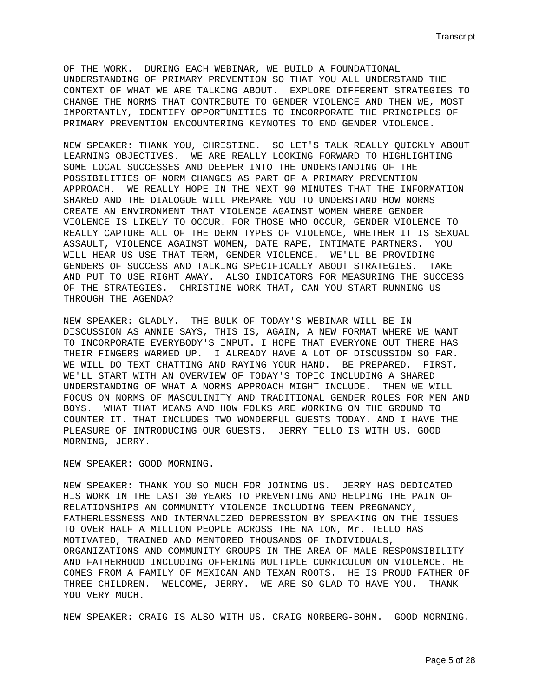OF THE WORK. DURING EACH WEBINAR, WE BUILD A FOUNDATIONAL UNDERSTANDING OF PRIMARY PREVENTION SO THAT YOU ALL UNDERSTAND THE CONTEXT OF WHAT WE ARE TALKING ABOUT. EXPLORE DIFFERENT STRATEGIES TO CHANGE THE NORMS THAT CONTRIBUTE TO GENDER VIOLENCE AND THEN WE, MOST IMPORTANTLY, IDENTIFY OPPORTUNITIES TO INCORPORATE THE PRINCIPLES OF PRIMARY PREVENTION ENCOUNTERING KEYNOTES TO END GENDER VIOLENCE.

NEW SPEAKER: THANK YOU, CHRISTINE. SO LET'S TALK REALLY QUICKLY ABOUT LEARNING OBJECTIVES. WE ARE REALLY LOOKING FORWARD TO HIGHLIGHTING SOME LOCAL SUCCESSES AND DEEPER INTO THE UNDERSTANDING OF THE POSSIBILITIES OF NORM CHANGES AS PART OF A PRIMARY PREVENTION APPROACH. WE REALLY HOPE IN THE NEXT 90 MINUTES THAT THE INFORMATION SHARED AND THE DIALOGUE WILL PREPARE YOU TO UNDERSTAND HOW NORMS CREATE AN ENVIRONMENT THAT VIOLENCE AGAINST WOMEN WHERE GENDER VIOLENCE IS LIKELY TO OCCUR. FOR THOSE WHO OCCUR, GENDER VIOLENCE TO REALLY CAPTURE ALL OF THE DERN TYPES OF VIOLENCE, WHETHER IT IS SEXUAL ASSAULT, VIOLENCE AGAINST WOMEN, DATE RAPE, INTIMATE PARTNERS. YOU WILL HEAR US USE THAT TERM, GENDER VIOLENCE. WE'LL BE PROVIDING GENDERS OF SUCCESS AND TALKING SPECIFICALLY ABOUT STRATEGIES. TAKE AND PUT TO USE RIGHT AWAY. ALSO INDICATORS FOR MEASURING THE SUCCESS OF THE STRATEGIES. CHRISTINE WORK THAT, CAN YOU START RUNNING US THROUGH THE AGENDA?

NEW SPEAKER: GLADLY. THE BULK OF TODAY'S WEBINAR WILL BE IN DISCUSSION AS ANNIE SAYS, THIS IS, AGAIN, A NEW FORMAT WHERE WE WANT TO INCORPORATE EVERYBODY'S INPUT. I HOPE THAT EVERYONE OUT THERE HAS THEIR FINGERS WARMED UP. I ALREADY HAVE A LOT OF DISCUSSION SO FAR. WE WILL DO TEXT CHATTING AND RAYING YOUR HAND. BE PREPARED. FIRST, WE'LL START WITH AN OVERVIEW OF TODAY'S TOPIC INCLUDING A SHARED UNDERSTANDING OF WHAT A NORMS APPROACH MIGHT INCLUDE. THEN WE WILL FOCUS ON NORMS OF MASCULINITY AND TRADITIONAL GENDER ROLES FOR MEN AND BOYS. WHAT THAT MEANS AND HOW FOLKS ARE WORKING ON THE GROUND TO COUNTER IT. THAT INCLUDES TWO WONDERFUL GUESTS TODAY. AND I HAVE THE PLEASURE OF INTRODUCING OUR GUESTS. JERRY TELLO IS WITH US. GOOD MORNING, JERRY.

NEW SPEAKER: GOOD MORNING.

NEW SPEAKER: THANK YOU SO MUCH FOR JOINING US. JERRY HAS DEDICATED HIS WORK IN THE LAST 30 YEARS TO PREVENTING AND HELPING THE PAIN OF RELATIONSHIPS AN COMMUNITY VIOLENCE INCLUDING TEEN PREGNANCY, FATHERLESSNESS AND INTERNALIZED DEPRESSION BY SPEAKING ON THE ISSUES TO OVER HALF A MILLION PEOPLE ACROSS THE NATION, Mr. TELLO HAS MOTIVATED, TRAINED AND MENTORED THOUSANDS OF INDIVIDUALS, ORGANIZATIONS AND COMMUNITY GROUPS IN THE AREA OF MALE RESPONSIBILITY AND FATHERHOOD INCLUDING OFFERING MULTIPLE CURRICULUM ON VIOLENCE. HE COMES FROM A FAMILY OF MEXICAN AND TEXAN ROOTS. HE IS PROUD FATHER OF THREE CHILDREN. WELCOME, JERRY. WE ARE SO GLAD TO HAVE YOU. THANK YOU VERY MUCH.

NEW SPEAKER: CRAIG IS ALSO WITH US. CRAIG NORBERG-BOHM. GOOD MORNING.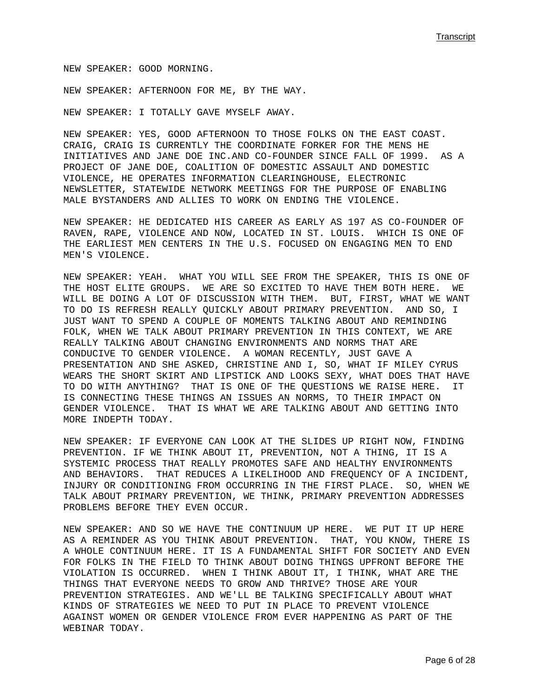NEW SPEAKER: GOOD MORNING.

NEW SPEAKER: AFTERNOON FOR ME, BY THE WAY.

NEW SPEAKER: I TOTALLY GAVE MYSELF AWAY.

NEW SPEAKER: YES, GOOD AFTERNOON TO THOSE FOLKS ON THE EAST COAST. CRAIG, CRAIG IS CURRENTLY THE COORDINATE FORKER FOR THE MENS HE INITIATIVES AND JANE DOE INC.AND CO-FOUNDER SINCE FALL OF 1999. AS A PROJECT OF JANE DOE, COALITION OF DOMESTIC ASSAULT AND DOMESTIC VIOLENCE, HE OPERATES INFORMATION CLEARINGHOUSE, ELECTRONIC NEWSLETTER, STATEWIDE NETWORK MEETINGS FOR THE PURPOSE OF ENABLING MALE BYSTANDERS AND ALLIES TO WORK ON ENDING THE VIOLENCE.

NEW SPEAKER: HE DEDICATED HIS CAREER AS EARLY AS 197 AS CO-FOUNDER OF RAVEN, RAPE, VIOLENCE AND NOW, LOCATED IN ST. LOUIS. WHICH IS ONE OF THE EARLIEST MEN CENTERS IN THE U.S. FOCUSED ON ENGAGING MEN TO END MEN'S VIOLENCE.

NEW SPEAKER: YEAH. WHAT YOU WILL SEE FROM THE SPEAKER, THIS IS ONE OF THE HOST ELITE GROUPS. WE ARE SO EXCITED TO HAVE THEM BOTH HERE. WE WILL BE DOING A LOT OF DISCUSSION WITH THEM. BUT, FIRST, WHAT WE WANT TO DO IS REFRESH REALLY QUICKLY ABOUT PRIMARY PREVENTION. AND SO, I JUST WANT TO SPEND A COUPLE OF MOMENTS TALKING ABOUT AND REMINDING FOLK, WHEN WE TALK ABOUT PRIMARY PREVENTION IN THIS CONTEXT, WE ARE REALLY TALKING ABOUT CHANGING ENVIRONMENTS AND NORMS THAT ARE CONDUCIVE TO GENDER VIOLENCE. A WOMAN RECENTLY, JUST GAVE A PRESENTATION AND SHE ASKED, CHRISTINE AND I, SO, WHAT IF MILEY CYRUS WEARS THE SHORT SKIRT AND LIPSTICK AND LOOKS SEXY, WHAT DOES THAT HAVE TO DO WITH ANYTHING? THAT IS ONE OF THE QUESTIONS WE RAISE HERE. IT IS CONNECTING THESE THINGS AN ISSUES AN NORMS, TO THEIR IMPACT ON GENDER VIOLENCE. THAT IS WHAT WE ARE TALKING ABOUT AND GETTING INTO MORE INDEPTH TODAY.

NEW SPEAKER: IF EVERYONE CAN LOOK AT THE SLIDES UP RIGHT NOW, FINDING PREVENTION. IF WE THINK ABOUT IT, PREVENTION, NOT A THING, IT IS A SYSTEMIC PROCESS THAT REALLY PROMOTES SAFE AND HEALTHY ENVIRONMENTS AND BEHAVIORS. THAT REDUCES A LIKELIHOOD AND FREQUENCY OF A INCIDENT, INJURY OR CONDITIONING FROM OCCURRING IN THE FIRST PLACE. SO, WHEN WE TALK ABOUT PRIMARY PREVENTION, WE THINK, PRIMARY PREVENTION ADDRESSES PROBLEMS BEFORE THEY EVEN OCCUR.

NEW SPEAKER: AND SO WE HAVE THE CONTINUUM UP HERE. WE PUT IT UP HERE AS A REMINDER AS YOU THINK ABOUT PREVENTION. THAT, YOU KNOW, THERE IS A WHOLE CONTINUUM HERE. IT IS A FUNDAMENTAL SHIFT FOR SOCIETY AND EVEN FOR FOLKS IN THE FIELD TO THINK ABOUT DOING THINGS UPFRONT BEFORE THE VIOLATION IS OCCURRED. WHEN I THINK ABOUT IT, I THINK, WHAT ARE THE THINGS THAT EVERYONE NEEDS TO GROW AND THRIVE? THOSE ARE YOUR PREVENTION STRATEGIES. AND WE'LL BE TALKING SPECIFICALLY ABOUT WHAT KINDS OF STRATEGIES WE NEED TO PUT IN PLACE TO PREVENT VIOLENCE AGAINST WOMEN OR GENDER VIOLENCE FROM EVER HAPPENING AS PART OF THE WEBINAR TODAY.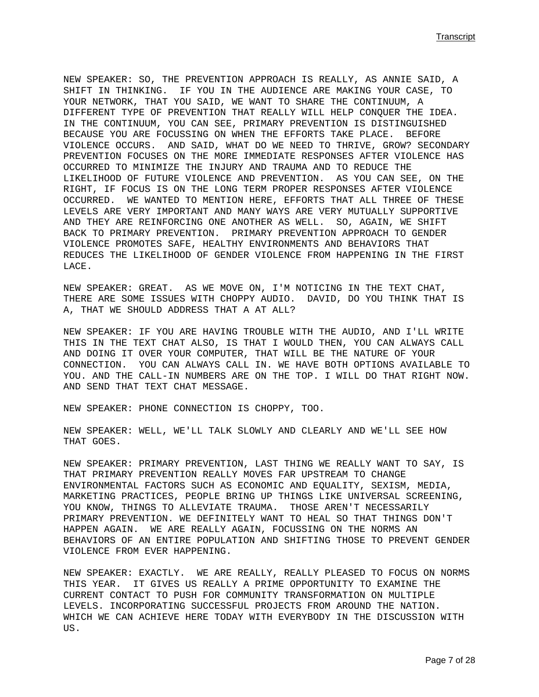NEW SPEAKER: SO, THE PREVENTION APPROACH IS REALLY, AS ANNIE SAID, A SHIFT IN THINKING. IF YOU IN THE AUDIENCE ARE MAKING YOUR CASE, TO YOUR NETWORK, THAT YOU SAID, WE WANT TO SHARE THE CONTINUUM, A DIFFERENT TYPE OF PREVENTION THAT REALLY WILL HELP CONQUER THE IDEA. IN THE CONTINUUM, YOU CAN SEE, PRIMARY PREVENTION IS DISTINGUISHED BECAUSE YOU ARE FOCUSSING ON WHEN THE EFFORTS TAKE PLACE. BEFORE VIOLENCE OCCURS. AND SAID, WHAT DO WE NEED TO THRIVE, GROW? SECONDARY PREVENTION FOCUSES ON THE MORE IMMEDIATE RESPONSES AFTER VIOLENCE HAS OCCURRED TO MINIMIZE THE INJURY AND TRAUMA AND TO REDUCE THE LIKELIHOOD OF FUTURE VIOLENCE AND PREVENTION. AS YOU CAN SEE, ON THE RIGHT, IF FOCUS IS ON THE LONG TERM PROPER RESPONSES AFTER VIOLENCE OCCURRED. WE WANTED TO MENTION HERE, EFFORTS THAT ALL THREE OF THESE LEVELS ARE VERY IMPORTANT AND MANY WAYS ARE VERY MUTUALLY SUPPORTIVE AND THEY ARE REINFORCING ONE ANOTHER AS WELL. SO, AGAIN, WE SHIFT BACK TO PRIMARY PREVENTION. PRIMARY PREVENTION APPROACH TO GENDER VIOLENCE PROMOTES SAFE, HEALTHY ENVIRONMENTS AND BEHAVIORS THAT REDUCES THE LIKELIHOOD OF GENDER VIOLENCE FROM HAPPENING IN THE FIRST LACE.

NEW SPEAKER: GREAT. AS WE MOVE ON, I'M NOTICING IN THE TEXT CHAT, THERE ARE SOME ISSUES WITH CHOPPY AUDIO. DAVID, DO YOU THINK THAT IS A, THAT WE SHOULD ADDRESS THAT A AT ALL?

NEW SPEAKER: IF YOU ARE HAVING TROUBLE WITH THE AUDIO, AND I'LL WRITE THIS IN THE TEXT CHAT ALSO, IS THAT I WOULD THEN, YOU CAN ALWAYS CALL AND DOING IT OVER YOUR COMPUTER, THAT WILL BE THE NATURE OF YOUR CONNECTION. YOU CAN ALWAYS CALL IN. WE HAVE BOTH OPTIONS AVAILABLE TO YOU. AND THE CALL-IN NUMBERS ARE ON THE TOP. I WILL DO THAT RIGHT NOW. AND SEND THAT TEXT CHAT MESSAGE.

NEW SPEAKER: PHONE CONNECTION IS CHOPPY, TOO.

NEW SPEAKER: WELL, WE'LL TALK SLOWLY AND CLEARLY AND WE'LL SEE HOW THAT GOES.

NEW SPEAKER: PRIMARY PREVENTION, LAST THING WE REALLY WANT TO SAY, IS THAT PRIMARY PREVENTION REALLY MOVES FAR UPSTREAM TO CHANGE ENVIRONMENTAL FACTORS SUCH AS ECONOMIC AND EQUALITY, SEXISM, MEDIA, MARKETING PRACTICES, PEOPLE BRING UP THINGS LIKE UNIVERSAL SCREENING, YOU KNOW, THINGS TO ALLEVIATE TRAUMA. THOSE AREN'T NECESSARILY PRIMARY PREVENTION. WE DEFINITELY WANT TO HEAL SO THAT THINGS DON'T HAPPEN AGAIN. WE ARE REALLY AGAIN, FOCUSSING ON THE NORMS AN BEHAVIORS OF AN ENTIRE POPULATION AND SHIFTING THOSE TO PREVENT GENDER VIOLENCE FROM EVER HAPPENING.

NEW SPEAKER: EXACTLY. WE ARE REALLY, REALLY PLEASED TO FOCUS ON NORMS THIS YEAR. IT GIVES US REALLY A PRIME OPPORTUNITY TO EXAMINE THE CURRENT CONTACT TO PUSH FOR COMMUNITY TRANSFORMATION ON MULTIPLE LEVELS. INCORPORATING SUCCESSFUL PROJECTS FROM AROUND THE NATION. WHICH WE CAN ACHIEVE HERE TODAY WITH EVERYBODY IN THE DISCUSSION WITH US.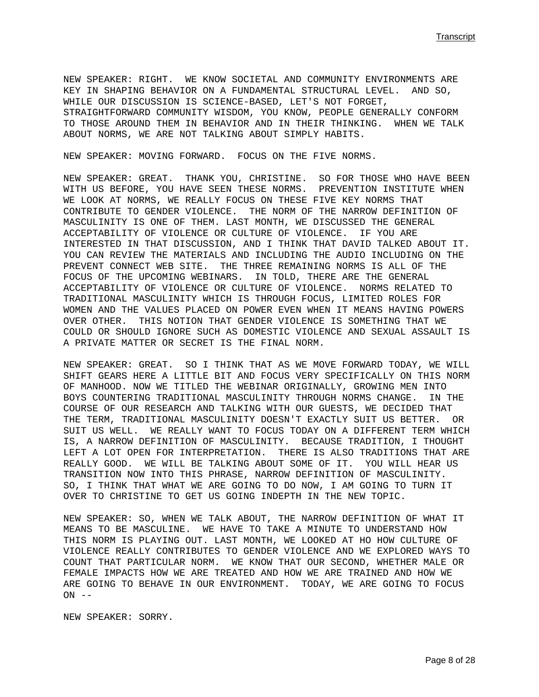NEW SPEAKER: RIGHT. WE KNOW SOCIETAL AND COMMUNITY ENVIRONMENTS ARE KEY IN SHAPING BEHAVIOR ON A FUNDAMENTAL STRUCTURAL LEVEL. AND SO, WHILE OUR DISCUSSION IS SCIENCE-BASED, LET'S NOT FORGET, STRAIGHTFORWARD COMMUNITY WISDOM, YOU KNOW, PEOPLE GENERALLY CONFORM TO THOSE AROUND THEM IN BEHAVIOR AND IN THEIR THINKING. WHEN WE TALK ABOUT NORMS, WE ARE NOT TALKING ABOUT SIMPLY HABITS.

NEW SPEAKER: MOVING FORWARD. FOCUS ON THE FIVE NORMS.

NEW SPEAKER: GREAT. THANK YOU, CHRISTINE. SO FOR THOSE WHO HAVE BEEN WITH US BEFORE, YOU HAVE SEEN THESE NORMS. PREVENTION INSTITUTE WHEN WE LOOK AT NORMS, WE REALLY FOCUS ON THESE FIVE KEY NORMS THAT CONTRIBUTE TO GENDER VIOLENCE. THE NORM OF THE NARROW DEFINITION OF MASCULINITY IS ONE OF THEM. LAST MONTH, WE DISCUSSED THE GENERAL ACCEPTABILITY OF VIOLENCE OR CULTURE OF VIOLENCE. IF YOU ARE INTERESTED IN THAT DISCUSSION, AND I THINK THAT DAVID TALKED ABOUT IT. YOU CAN REVIEW THE MATERIALS AND INCLUDING THE AUDIO INCLUDING ON THE PREVENT CONNECT WEB SITE. THE THREE REMAINING NORMS IS ALL OF THE FOCUS OF THE UPCOMING WEBINARS. IN TOLD, THERE ARE THE GENERAL ACCEPTABILITY OF VIOLENCE OR CULTURE OF VIOLENCE. NORMS RELATED TO TRADITIONAL MASCULINITY WHICH IS THROUGH FOCUS, LIMITED ROLES FOR WOMEN AND THE VALUES PLACED ON POWER EVEN WHEN IT MEANS HAVING POWERS OVER OTHER. THIS NOTION THAT GENDER VIOLENCE IS SOMETHING THAT WE COULD OR SHOULD IGNORE SUCH AS DOMESTIC VIOLENCE AND SEXUAL ASSAULT IS A PRIVATE MATTER OR SECRET IS THE FINAL NORM.

NEW SPEAKER: GREAT. SO I THINK THAT AS WE MOVE FORWARD TODAY, WE WILL SHIFT GEARS HERE A LITTLE BIT AND FOCUS VERY SPECIFICALLY ON THIS NORM OF MANHOOD. NOW WE TITLED THE WEBINAR ORIGINALLY, GROWING MEN INTO BOYS COUNTERING TRADITIONAL MASCULINITY THROUGH NORMS CHANGE. IN THE COURSE OF OUR RESEARCH AND TALKING WITH OUR GUESTS, WE DECIDED THAT THE TERM, TRADITIONAL MASCULINITY DOESN'T EXACTLY SUIT US BETTER. OR SUIT US WELL. WE REALLY WANT TO FOCUS TODAY ON A DIFFERENT TERM WHICH IS, A NARROW DEFINITION OF MASCULINITY. BECAUSE TRADITION, I THOUGHT LEFT A LOT OPEN FOR INTERPRETATION. THERE IS ALSO TRADITIONS THAT ARE REALLY GOOD. WE WILL BE TALKING ABOUT SOME OF IT. YOU WILL HEAR US TRANSITION NOW INTO THIS PHRASE, NARROW DEFINITION OF MASCULINITY. SO, I THINK THAT WHAT WE ARE GOING TO DO NOW, I AM GOING TO TURN IT OVER TO CHRISTINE TO GET US GOING INDEPTH IN THE NEW TOPIC.

NEW SPEAKER: SO, WHEN WE TALK ABOUT, THE NARROW DEFINITION OF WHAT IT MEANS TO BE MASCULINE. WE HAVE TO TAKE A MINUTE TO UNDERSTAND HOW THIS NORM IS PLAYING OUT. LAST MONTH, WE LOOKED AT HO HOW CULTURE OF VIOLENCE REALLY CONTRIBUTES TO GENDER VIOLENCE AND WE EXPLORED WAYS TO COUNT THAT PARTICULAR NORM. WE KNOW THAT OUR SECOND, WHETHER MALE OR FEMALE IMPACTS HOW WE ARE TREATED AND HOW WE ARE TRAINED AND HOW WE ARE GOING TO BEHAVE IN OUR ENVIRONMENT. TODAY, WE ARE GOING TO FOCUS  $ON$  --

NEW SPEAKER: SORRY.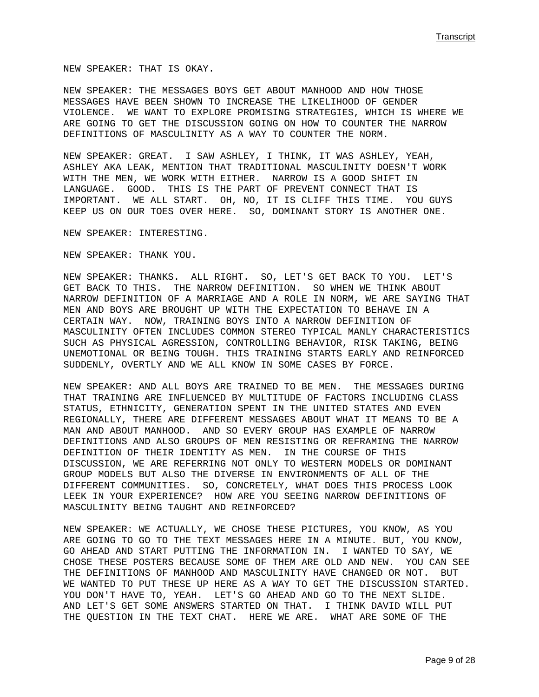NEW SPEAKER: THAT IS OKAY.

NEW SPEAKER: THE MESSAGES BOYS GET ABOUT MANHOOD AND HOW THOSE MESSAGES HAVE BEEN SHOWN TO INCREASE THE LIKELIHOOD OF GENDER VIOLENCE. WE WANT TO EXPLORE PROMISING STRATEGIES, WHICH IS WHERE WE ARE GOING TO GET THE DISCUSSION GOING ON HOW TO COUNTER THE NARROW DEFINITIONS OF MASCULINITY AS A WAY TO COUNTER THE NORM.

NEW SPEAKER: GREAT. I SAW ASHLEY, I THINK, IT WAS ASHLEY, YEAH, ASHLEY AKA LEAK, MENTION THAT TRADITIONAL MASCULINITY DOESN'T WORK WITH THE MEN, WE WORK WITH EITHER. NARROW IS A GOOD SHIFT IN LANGUAGE. GOOD. THIS IS THE PART OF PREVENT CONNECT THAT IS IMPORTANT. WE ALL START. OH, NO, IT IS CLIFF THIS TIME. YOU GUYS KEEP US ON OUR TOES OVER HERE. SO, DOMINANT STORY IS ANOTHER ONE.

NEW SPEAKER: INTERESTING.

NEW SPEAKER: THANK YOU.

NEW SPEAKER: THANKS. ALL RIGHT. SO, LET'S GET BACK TO YOU. LET'S GET BACK TO THIS. THE NARROW DEFINITION. SO WHEN WE THINK ABOUT NARROW DEFINITION OF A MARRIAGE AND A ROLE IN NORM, WE ARE SAYING THAT MEN AND BOYS ARE BROUGHT UP WITH THE EXPECTATION TO BEHAVE IN A CERTAIN WAY. NOW, TRAINING BOYS INTO A NARROW DEFINITION OF MASCULINITY OFTEN INCLUDES COMMON STEREO TYPICAL MANLY CHARACTERISTICS SUCH AS PHYSICAL AGRESSION, CONTROLLING BEHAVIOR, RISK TAKING, BEING UNEMOTIONAL OR BEING TOUGH. THIS TRAINING STARTS EARLY AND REINFORCED SUDDENLY, OVERTLY AND WE ALL KNOW IN SOME CASES BY FORCE.

NEW SPEAKER: AND ALL BOYS ARE TRAINED TO BE MEN. THE MESSAGES DURING THAT TRAINING ARE INFLUENCED BY MULTITUDE OF FACTORS INCLUDING CLASS STATUS, ETHNICITY, GENERATION SPENT IN THE UNITED STATES AND EVEN REGIONALLY, THERE ARE DIFFERENT MESSAGES ABOUT WHAT IT MEANS TO BE A MAN AND ABOUT MANHOOD. AND SO EVERY GROUP HAS EXAMPLE OF NARROW DEFINITIONS AND ALSO GROUPS OF MEN RESISTING OR REFRAMING THE NARROW DEFINITION OF THEIR IDENTITY AS MEN. IN THE COURSE OF THIS DISCUSSION, WE ARE REFERRING NOT ONLY TO WESTERN MODELS OR DOMINANT GROUP MODELS BUT ALSO THE DIVERSE IN ENVIRONMENTS OF ALL OF THE DIFFERENT COMMUNITIES. SO, CONCRETELY, WHAT DOES THIS PROCESS LOOK LEEK IN YOUR EXPERIENCE? HOW ARE YOU SEEING NARROW DEFINITIONS OF MASCULINITY BEING TAUGHT AND REINFORCED?

NEW SPEAKER: WE ACTUALLY, WE CHOSE THESE PICTURES, YOU KNOW, AS YOU ARE GOING TO GO TO THE TEXT MESSAGES HERE IN A MINUTE. BUT, YOU KNOW, GO AHEAD AND START PUTTING THE INFORMATION IN. I WANTED TO SAY, WE CHOSE THESE POSTERS BECAUSE SOME OF THEM ARE OLD AND NEW. YOU CAN SEE THE DEFINITIONS OF MANHOOD AND MASCULINITY HAVE CHANGED OR NOT. BUT WE WANTED TO PUT THESE UP HERE AS A WAY TO GET THE DISCUSSION STARTED. YOU DON'T HAVE TO, YEAH. LET'S GO AHEAD AND GO TO THE NEXT SLIDE. AND LET'S GET SOME ANSWERS STARTED ON THAT. I THINK DAVID WILL PUT THE QUESTION IN THE TEXT CHAT. HERE WE ARE. WHAT ARE SOME OF THE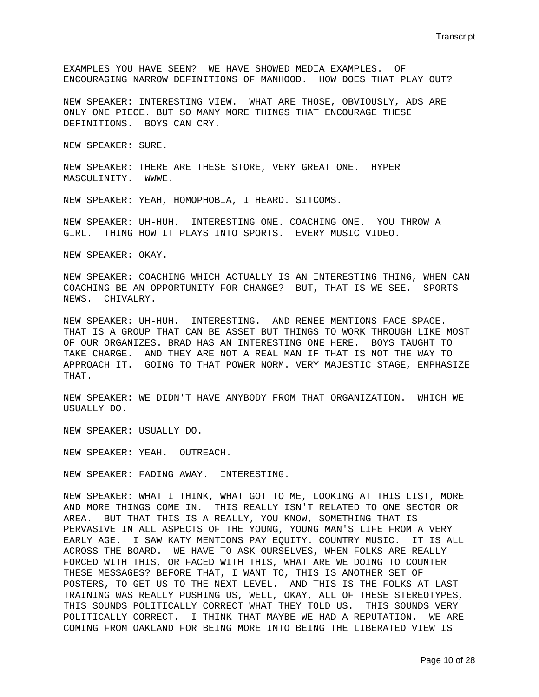EXAMPLES YOU HAVE SEEN? WE HAVE SHOWED MEDIA EXAMPLES. OF ENCOURAGING NARROW DEFINITIONS OF MANHOOD. HOW DOES THAT PLAY OUT?

NEW SPEAKER: INTERESTING VIEW. WHAT ARE THOSE, OBVIOUSLY, ADS ARE ONLY ONE PIECE. BUT SO MANY MORE THINGS THAT ENCOURAGE THESE DEFINITIONS. BOYS CAN CRY.

NEW SPEAKER: SURE.

NEW SPEAKER: THERE ARE THESE STORE, VERY GREAT ONE. HYPER MASCULINITY. WWWE.

NEW SPEAKER: YEAH, HOMOPHOBIA, I HEARD. SITCOMS.

NEW SPEAKER: UH-HUH. INTERESTING ONE. COACHING ONE. YOU THROW A GIRL. THING HOW IT PLAYS INTO SPORTS. EVERY MUSIC VIDEO.

NEW SPEAKER: OKAY.

NEW SPEAKER: COACHING WHICH ACTUALLY IS AN INTERESTING THING, WHEN CAN COACHING BE AN OPPORTUNITY FOR CHANGE? BUT, THAT IS WE SEE. SPORTS NEWS. CHIVALRY.

NEW SPEAKER: UH-HUH. INTERESTING. AND RENEE MENTIONS FACE SPACE. THAT IS A GROUP THAT CAN BE ASSET BUT THINGS TO WORK THROUGH LIKE MOST OF OUR ORGANIZES. BRAD HAS AN INTERESTING ONE HERE. BOYS TAUGHT TO TAKE CHARGE. AND THEY ARE NOT A REAL MAN IF THAT IS NOT THE WAY TO APPROACH IT. GOING TO THAT POWER NORM. VERY MAJESTIC STAGE, EMPHASIZE THAT.

NEW SPEAKER: WE DIDN'T HAVE ANYBODY FROM THAT ORGANIZATION. WHICH WE USUALLY DO.

NEW SPEAKER: USUALLY DO.

NEW SPEAKER: YEAH. OUTREACH.

NEW SPEAKER: FADING AWAY. INTERESTING.

NEW SPEAKER: WHAT I THINK, WHAT GOT TO ME, LOOKING AT THIS LIST, MORE AND MORE THINGS COME IN. THIS REALLY ISN'T RELATED TO ONE SECTOR OR AREA. BUT THAT THIS IS A REALLY, YOU KNOW, SOMETHING THAT IS PERVASIVE IN ALL ASPECTS OF THE YOUNG, YOUNG MAN'S LIFE FROM A VERY EARLY AGE. I SAW KATY MENTIONS PAY EQUITY. COUNTRY MUSIC. IT IS ALL ACROSS THE BOARD. WE HAVE TO ASK OURSELVES, WHEN FOLKS ARE REALLY FORCED WITH THIS, OR FACED WITH THIS, WHAT ARE WE DOING TO COUNTER THESE MESSAGES? BEFORE THAT, I WANT TO, THIS IS ANOTHER SET OF POSTERS, TO GET US TO THE NEXT LEVEL. AND THIS IS THE FOLKS AT LAST TRAINING WAS REALLY PUSHING US, WELL, OKAY, ALL OF THESE STEREOTYPES, THIS SOUNDS POLITICALLY CORRECT WHAT THEY TOLD US. THIS SOUNDS VERY POLITICALLY CORRECT. I THINK THAT MAYBE WE HAD A REPUTATION. WE ARE COMING FROM OAKLAND FOR BEING MORE INTO BEING THE LIBERATED VIEW IS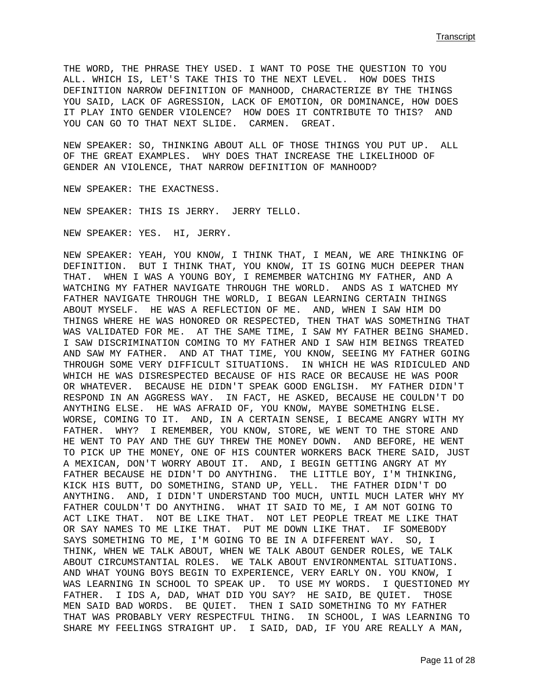THE WORD, THE PHRASE THEY USED. I WANT TO POSE THE QUESTION TO YOU ALL. WHICH IS, LET'S TAKE THIS TO THE NEXT LEVEL. HOW DOES THIS DEFINITION NARROW DEFINITION OF MANHOOD, CHARACTERIZE BY THE THINGS YOU SAID, LACK OF AGRESSION, LACK OF EMOTION, OR DOMINANCE, HOW DOES IT PLAY INTO GENDER VIOLENCE? HOW DOES IT CONTRIBUTE TO THIS? AND YOU CAN GO TO THAT NEXT SLIDE. CARMEN. GREAT.

NEW SPEAKER: SO, THINKING ABOUT ALL OF THOSE THINGS YOU PUT UP. ALL OF THE GREAT EXAMPLES. WHY DOES THAT INCREASE THE LIKELIHOOD OF GENDER AN VIOLENCE, THAT NARROW DEFINITION OF MANHOOD?

NEW SPEAKER: THE EXACTNESS.

NEW SPEAKER: THIS IS JERRY. JERRY TELLO.

NEW SPEAKER: YES. HI, JERRY.

NEW SPEAKER: YEAH, YOU KNOW, I THINK THAT, I MEAN, WE ARE THINKING OF DEFINITION. BUT I THINK THAT, YOU KNOW, IT IS GOING MUCH DEEPER THAN THAT. WHEN I WAS A YOUNG BOY, I REMEMBER WATCHING MY FATHER, AND A WATCHING MY FATHER NAVIGATE THROUGH THE WORLD. ANDS AS I WATCHED MY FATHER NAVIGATE THROUGH THE WORLD, I BEGAN LEARNING CERTAIN THINGS ABOUT MYSELF. HE WAS A REFLECTION OF ME. AND, WHEN I SAW HIM DO THINGS WHERE HE WAS HONORED OR RESPECTED, THEN THAT WAS SOMETHING THAT WAS VALIDATED FOR ME. AT THE SAME TIME, I SAW MY FATHER BEING SHAMED. I SAW DISCRIMINATION COMING TO MY FATHER AND I SAW HIM BEINGS TREATED AND SAW MY FATHER. AND AT THAT TIME, YOU KNOW, SEEING MY FATHER GOING THROUGH SOME VERY DIFFICULT SITUATIONS. IN WHICH HE WAS RIDICULED AND WHICH HE WAS DISRESPECTED BECAUSE OF HIS RACE OR BECAUSE HE WAS POOR OR WHATEVER. BECAUSE HE DIDN'T SPEAK GOOD ENGLISH. MY FATHER DIDN'T RESPOND IN AN AGGRESS WAY. IN FACT, HE ASKED, BECAUSE HE COULDN'T DO ANYTHING ELSE. HE WAS AFRAID OF, YOU KNOW, MAYBE SOMETHING ELSE. WORSE, COMING TO IT. AND, IN A CERTAIN SENSE, I BECAME ANGRY WITH MY FATHER. WHY? I REMEMBER, YOU KNOW, STORE, WE WENT TO THE STORE AND HE WENT TO PAY AND THE GUY THREW THE MONEY DOWN. AND BEFORE, HE WENT TO PICK UP THE MONEY, ONE OF HIS COUNTER WORKERS BACK THERE SAID, JUST A MEXICAN, DON'T WORRY ABOUT IT. AND, I BEGIN GETTING ANGRY AT MY FATHER BECAUSE HE DIDN'T DO ANYTHING. THE LITTLE BOY, I'M THINKING, KICK HIS BUTT, DO SOMETHING, STAND UP, YELL. THE FATHER DIDN'T DO ANYTHING. AND, I DIDN'T UNDERSTAND TOO MUCH, UNTIL MUCH LATER WHY MY FATHER COULDN'T DO ANYTHING. WHAT IT SAID TO ME, I AM NOT GOING TO ACT LIKE THAT. NOT BE LIKE THAT. NOT LET PEOPLE TREAT ME LIKE THAT OR SAY NAMES TO ME LIKE THAT. PUT ME DOWN LIKE THAT. IF SOMEBODY SAYS SOMETHING TO ME, I'M GOING TO BE IN A DIFFERENT WAY. SO, I THINK, WHEN WE TALK ABOUT, WHEN WE TALK ABOUT GENDER ROLES, WE TALK ABOUT CIRCUMSTANTIAL ROLES. WE TALK ABOUT ENVIRONMENTAL SITUATIONS. AND WHAT YOUNG BOYS BEGIN TO EXPERIENCE, VERY EARLY ON. YOU KNOW, I WAS LEARNING IN SCHOOL TO SPEAK UP. TO USE MY WORDS. I QUESTIONED MY FATHER. I IDS A, DAD, WHAT DID YOU SAY? HE SAID, BE QUIET. THOSE MEN SAID BAD WORDS. BE QUIET. THEN I SAID SOMETHING TO MY FATHER THAT WAS PROBABLY VERY RESPECTFUL THING. IN SCHOOL, I WAS LEARNING TO SHARE MY FEELINGS STRAIGHT UP. I SAID, DAD, IF YOU ARE REALLY A MAN,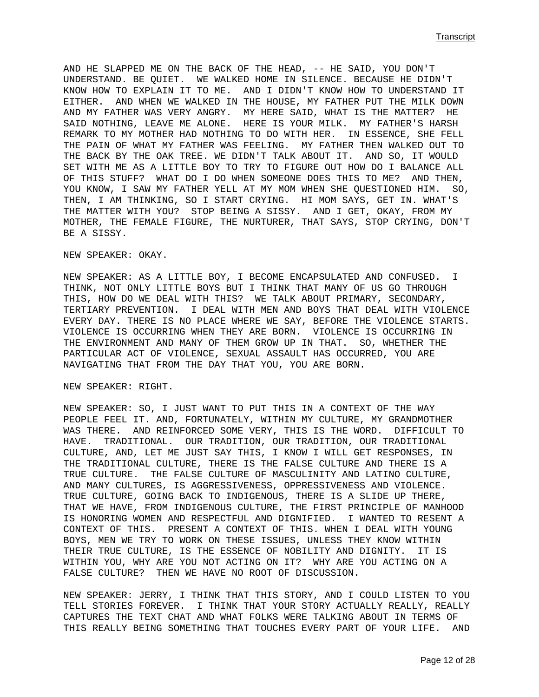AND HE SLAPPED ME ON THE BACK OF THE HEAD, -- HE SAID, YOU DON'T UNDERSTAND. BE QUIET. WE WALKED HOME IN SILENCE. BECAUSE HE DIDN'T KNOW HOW TO EXPLAIN IT TO ME. AND I DIDN'T KNOW HOW TO UNDERSTAND IT EITHER. AND WHEN WE WALKED IN THE HOUSE, MY FATHER PUT THE MILK DOWN AND MY FATHER WAS VERY ANGRY. MY HERE SAID, WHAT IS THE MATTER? HE SAID NOTHING, LEAVE ME ALONE. HERE IS YOUR MILK. MY FATHER'S HARSH REMARK TO MY MOTHER HAD NOTHING TO DO WITH HER. IN ESSENCE, SHE FELL THE PAIN OF WHAT MY FATHER WAS FEELING. MY FATHER THEN WALKED OUT TO THE BACK BY THE OAK TREE. WE DIDN'T TALK ABOUT IT. AND SO, IT WOULD SET WITH ME AS A LITTLE BOY TO TRY TO FIGURE OUT HOW DO I BALANCE ALL OF THIS STUFF? WHAT DO I DO WHEN SOMEONE DOES THIS TO ME? AND THEN, YOU KNOW, I SAW MY FATHER YELL AT MY MOM WHEN SHE QUESTIONED HIM. SO, THEN, I AM THINKING, SO I START CRYING. HI MOM SAYS, GET IN. WHAT'S THE MATTER WITH YOU? STOP BEING A SISSY. AND I GET, OKAY, FROM MY MOTHER, THE FEMALE FIGURE, THE NURTURER, THAT SAYS, STOP CRYING, DON'T BE A SISSY.

NEW SPEAKER: OKAY.

NEW SPEAKER: AS A LITTLE BOY, I BECOME ENCAPSULATED AND CONFUSED. I THINK, NOT ONLY LITTLE BOYS BUT I THINK THAT MANY OF US GO THROUGH THIS, HOW DO WE DEAL WITH THIS? WE TALK ABOUT PRIMARY, SECONDARY, TERTIARY PREVENTION. I DEAL WITH MEN AND BOYS THAT DEAL WITH VIOLENCE EVERY DAY. THERE IS NO PLACE WHERE WE SAY, BEFORE THE VIOLENCE STARTS. VIOLENCE IS OCCURRING WHEN THEY ARE BORN. VIOLENCE IS OCCURRING IN THE ENVIRONMENT AND MANY OF THEM GROW UP IN THAT. SO, WHETHER THE PARTICULAR ACT OF VIOLENCE, SEXUAL ASSAULT HAS OCCURRED, YOU ARE NAVIGATING THAT FROM THE DAY THAT YOU, YOU ARE BORN.

NEW SPEAKER: RIGHT.

NEW SPEAKER: SO, I JUST WANT TO PUT THIS IN A CONTEXT OF THE WAY PEOPLE FEEL IT. AND, FORTUNATELY, WITHIN MY CULTURE, MY GRANDMOTHER WAS THERE. AND REINFORCED SOME VERY, THIS IS THE WORD. DIFFICULT TO HAVE. TRADITIONAL. OUR TRADITION, OUR TRADITION, OUR TRADITIONAL CULTURE, AND, LET ME JUST SAY THIS, I KNOW I WILL GET RESPONSES, IN THE TRADITIONAL CULTURE, THERE IS THE FALSE CULTURE AND THERE IS A TRUE CULTURE. THE FALSE CULTURE OF MASCULINITY AND LATINO CULTURE, AND MANY CULTURES, IS AGGRESSIVENESS, OPPRESSIVENESS AND VIOLENCE. TRUE CULTURE, GOING BACK TO INDIGENOUS, THERE IS A SLIDE UP THERE, THAT WE HAVE, FROM INDIGENOUS CULTURE, THE FIRST PRINCIPLE OF MANHOOD IS HONORING WOMEN AND RESPECTFUL AND DIGNIFIED. I WANTED TO RESENT A CONTEXT OF THIS. PRESENT A CONTEXT OF THIS. WHEN I DEAL WITH YOUNG BOYS, MEN WE TRY TO WORK ON THESE ISSUES, UNLESS THEY KNOW WITHIN THEIR TRUE CULTURE, IS THE ESSENCE OF NOBILITY AND DIGNITY. IT IS WITHIN YOU, WHY ARE YOU NOT ACTING ON IT? WHY ARE YOU ACTING ON A FALSE CULTURE? THEN WE HAVE NO ROOT OF DISCUSSION.

NEW SPEAKER: JERRY, I THINK THAT THIS STORY, AND I COULD LISTEN TO YOU TELL STORIES FOREVER. I THINK THAT YOUR STORY ACTUALLY REALLY, REALLY CAPTURES THE TEXT CHAT AND WHAT FOLKS WERE TALKING ABOUT IN TERMS OF THIS REALLY BEING SOMETHING THAT TOUCHES EVERY PART OF YOUR LIFE. AND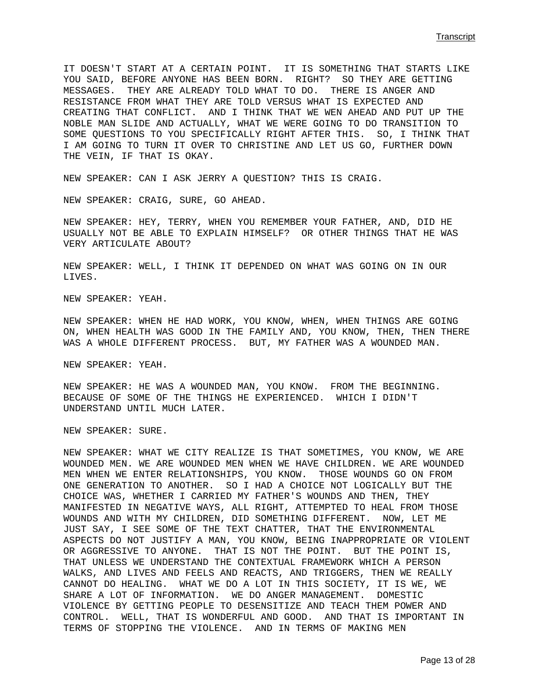IT DOESN'T START AT A CERTAIN POINT. IT IS SOMETHING THAT STARTS LIKE YOU SAID, BEFORE ANYONE HAS BEEN BORN. RIGHT? SO THEY ARE GETTING MESSAGES. THEY ARE ALREADY TOLD WHAT TO DO. THERE IS ANGER AND RESISTANCE FROM WHAT THEY ARE TOLD VERSUS WHAT IS EXPECTED AND CREATING THAT CONFLICT. AND I THINK THAT WE WEN AHEAD AND PUT UP THE NOBLE MAN SLIDE AND ACTUALLY, WHAT WE WERE GOING TO DO TRANSITION TO SOME QUESTIONS TO YOU SPECIFICALLY RIGHT AFTER THIS. SO, I THINK THAT I AM GOING TO TURN IT OVER TO CHRISTINE AND LET US GO, FURTHER DOWN THE VEIN, IF THAT IS OKAY.

NEW SPEAKER: CAN I ASK JERRY A QUESTION? THIS IS CRAIG.

NEW SPEAKER: CRAIG, SURE, GO AHEAD.

NEW SPEAKER: HEY, TERRY, WHEN YOU REMEMBER YOUR FATHER, AND, DID HE USUALLY NOT BE ABLE TO EXPLAIN HIMSELF? OR OTHER THINGS THAT HE WAS VERY ARTICULATE ABOUT?

NEW SPEAKER: WELL, I THINK IT DEPENDED ON WHAT WAS GOING ON IN OUR LIVES.

NEW SPEAKER: YEAH.

NEW SPEAKER: WHEN HE HAD WORK, YOU KNOW, WHEN, WHEN THINGS ARE GOING ON, WHEN HEALTH WAS GOOD IN THE FAMILY AND, YOU KNOW, THEN, THEN THERE WAS A WHOLE DIFFERENT PROCESS. BUT, MY FATHER WAS A WOUNDED MAN.

NEW SPEAKER: YEAH.

NEW SPEAKER: HE WAS A WOUNDED MAN, YOU KNOW. FROM THE BEGINNING. BECAUSE OF SOME OF THE THINGS HE EXPERIENCED. WHICH I DIDN'T UNDERSTAND UNTIL MUCH LATER.

NEW SPEAKER: SURE.

NEW SPEAKER: WHAT WE CITY REALIZE IS THAT SOMETIMES, YOU KNOW, WE ARE WOUNDED MEN. WE ARE WOUNDED MEN WHEN WE HAVE CHILDREN. WE ARE WOUNDED MEN WHEN WE ENTER RELATIONSHIPS, YOU KNOW. THOSE WOUNDS GO ON FROM ONE GENERATION TO ANOTHER. SO I HAD A CHOICE NOT LOGICALLY BUT THE CHOICE WAS, WHETHER I CARRIED MY FATHER'S WOUNDS AND THEN, THEY MANIFESTED IN NEGATIVE WAYS, ALL RIGHT, ATTEMPTED TO HEAL FROM THOSE WOUNDS AND WITH MY CHILDREN, DID SOMETHING DIFFERENT. NOW, LET ME JUST SAY, I SEE SOME OF THE TEXT CHATTER, THAT THE ENVIRONMENTAL ASPECTS DO NOT JUSTIFY A MAN, YOU KNOW, BEING INAPPROPRIATE OR VIOLENT OR AGGRESSIVE TO ANYONE. THAT IS NOT THE POINT. BUT THE POINT IS, THAT UNLESS WE UNDERSTAND THE CONTEXTUAL FRAMEWORK WHICH A PERSON WALKS, AND LIVES AND FEELS AND REACTS, AND TRIGGERS, THEN WE REALLY CANNOT DO HEALING. WHAT WE DO A LOT IN THIS SOCIETY, IT IS WE, WE SHARE A LOT OF INFORMATION. WE DO ANGER MANAGEMENT. DOMESTIC VIOLENCE BY GETTING PEOPLE TO DESENSITIZE AND TEACH THEM POWER AND CONTROL. WELL, THAT IS WONDERFUL AND GOOD. AND THAT IS IMPORTANT IN TERMS OF STOPPING THE VIOLENCE. AND IN TERMS OF MAKING MEN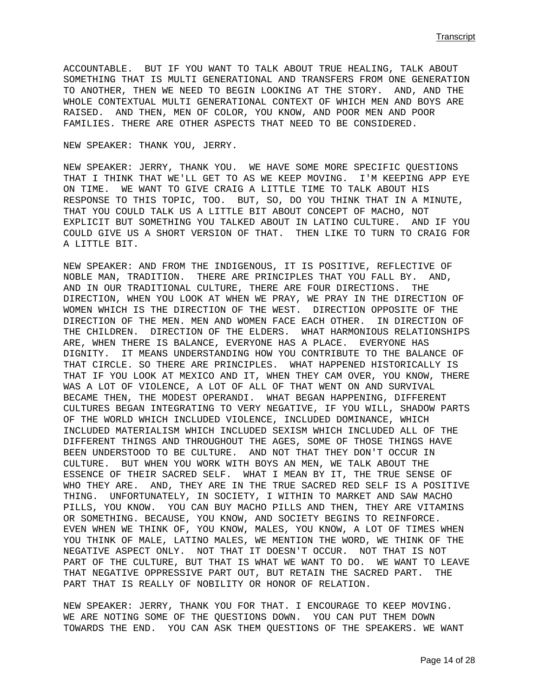**Transcript (1996)** Transcript (1996) Transcript (1997) Transcript (1997) Transcript (1997) Transcript (1997) Transcript (1997) Transcript (1997) Transcript (1997) Transcript (1997) Transcript (1997) Transcript (1997) Tran

ACCOUNTABLE. BUT IF YOU WANT TO TALK ABOUT TRUE HEALING, TALK ABOUT SOMETHING THAT IS MULTI GENERATIONAL AND TRANSFERS FROM ONE GENERATION TO ANOTHER, THEN WE NEED TO BEGIN LOOKING AT THE STORY. AND, AND THE WHOLE CONTEXTUAL MULTI GENERATIONAL CONTEXT OF WHICH MEN AND BOYS ARE RAISED. AND THEN, MEN OF COLOR, YOU KNOW, AND POOR MEN AND POOR FAMILIES. THERE ARE OTHER ASPECTS THAT NEED TO BE CONSIDERED.

NEW SPEAKER: THANK YOU, JERRY.

NEW SPEAKER: JERRY, THANK YOU. WE HAVE SOME MORE SPECIFIC QUESTIONS THAT I THINK THAT WE'LL GET TO AS WE KEEP MOVING. I'M KEEPING APP EYE ON TIME. WE WANT TO GIVE CRAIG A LITTLE TIME TO TALK ABOUT HIS RESPONSE TO THIS TOPIC, TOO. BUT, SO, DO YOU THINK THAT IN A MINUTE, THAT YOU COULD TALK US A LITTLE BIT ABOUT CONCEPT OF MACHO, NOT EXPLICIT BUT SOMETHING YOU TALKED ABOUT IN LATINO CULTURE. AND IF YOU COULD GIVE US A SHORT VERSION OF THAT. THEN LIKE TO TURN TO CRAIG FOR A LITTLE BIT.

NEW SPEAKER: AND FROM THE INDIGENOUS, IT IS POSITIVE, REFLECTIVE OF NOBLE MAN, TRADITION. THERE ARE PRINCIPLES THAT YOU FALL BY. AND, AND IN OUR TRADITIONAL CULTURE, THERE ARE FOUR DIRECTIONS. THE DIRECTION, WHEN YOU LOOK AT WHEN WE PRAY, WE PRAY IN THE DIRECTION OF WOMEN WHICH IS THE DIRECTION OF THE WEST. DIRECTION OPPOSITE OF THE DIRECTION OF THE MEN. MEN AND WOMEN FACE EACH OTHER. IN DIRECTION OF THE CHILDREN. DIRECTION OF THE ELDERS. WHAT HARMONIOUS RELATIONSHIPS ARE, WHEN THERE IS BALANCE, EVERYONE HAS A PLACE. EVERYONE HAS DIGNITY. IT MEANS UNDERSTANDING HOW YOU CONTRIBUTE TO THE BALANCE OF THAT CIRCLE. SO THERE ARE PRINCIPLES. WHAT HAPPENED HISTORICALLY IS THAT IF YOU LOOK AT MEXICO AND IT, WHEN THEY CAM OVER, YOU KNOW, THERE WAS A LOT OF VIOLENCE, A LOT OF ALL OF THAT WENT ON AND SURVIVAL BECAME THEN, THE MODEST OPERANDI. WHAT BEGAN HAPPENING, DIFFERENT CULTURES BEGAN INTEGRATING TO VERY NEGATIVE, IF YOU WILL, SHADOW PARTS OF THE WORLD WHICH INCLUDED VIOLENCE, INCLUDED DOMINANCE, WHICH INCLUDED MATERIALISM WHICH INCLUDED SEXISM WHICH INCLUDED ALL OF THE DIFFERENT THINGS AND THROUGHOUT THE AGES, SOME OF THOSE THINGS HAVE BEEN UNDERSTOOD TO BE CULTURE. AND NOT THAT THEY DON'T OCCUR IN CULTURE. BUT WHEN YOU WORK WITH BOYS AN MEN, WE TALK ABOUT THE ESSENCE OF THEIR SACRED SELF. WHAT I MEAN BY IT, THE TRUE SENSE OF WHO THEY ARE. AND, THEY ARE IN THE TRUE SACRED RED SELF IS A POSITIVE THING. UNFORTUNATELY, IN SOCIETY, I WITHIN TO MARKET AND SAW MACHO PILLS, YOU KNOW. YOU CAN BUY MACHO PILLS AND THEN, THEY ARE VITAMINS OR SOMETHING. BECAUSE, YOU KNOW, AND SOCIETY BEGINS TO REINFORCE. EVEN WHEN WE THINK OF, YOU KNOW, MALES, YOU KNOW, A LOT OF TIMES WHEN YOU THINK OF MALE, LATINO MALES, WE MENTION THE WORD, WE THINK OF THE NEGATIVE ASPECT ONLY. NOT THAT IT DOESN'T OCCUR. NOT THAT IS NOT PART OF THE CULTURE, BUT THAT IS WHAT WE WANT TO DO. WE WANT TO LEAVE THAT NEGATIVE OPPRESSIVE PART OUT, BUT RETAIN THE SACRED PART. THE PART THAT IS REALLY OF NOBILITY OR HONOR OF RELATION.

NEW SPEAKER: JERRY, THANK YOU FOR THAT. I ENCOURAGE TO KEEP MOVING. WE ARE NOTING SOME OF THE QUESTIONS DOWN. YOU CAN PUT THEM DOWN TOWARDS THE END. YOU CAN ASK THEM QUESTIONS OF THE SPEAKERS. WE WANT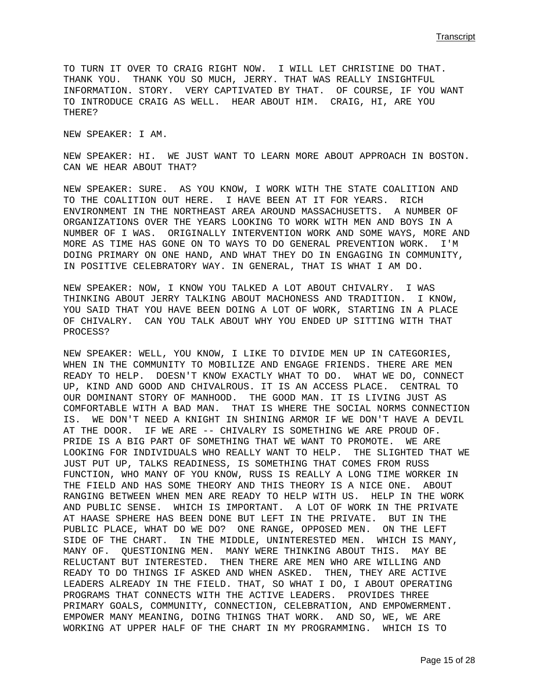TO TURN IT OVER TO CRAIG RIGHT NOW. I WILL LET CHRISTINE DO THAT. THANK YOU. THANK YOU SO MUCH, JERRY. THAT WAS REALLY INSIGHTFUL INFORMATION. STORY. VERY CAPTIVATED BY THAT. OF COURSE, IF YOU WANT TO INTRODUCE CRAIG AS WELL. HEAR ABOUT HIM. CRAIG, HI, ARE YOU THERE?

NEW SPEAKER: I AM.

NEW SPEAKER: HI. WE JUST WANT TO LEARN MORE ABOUT APPROACH IN BOSTON. CAN WE HEAR ABOUT THAT?

NEW SPEAKER: SURE. AS YOU KNOW, I WORK WITH THE STATE COALITION AND TO THE COALITION OUT HERE. I HAVE BEEN AT IT FOR YEARS. RICH ENVIRONMENT IN THE NORTHEAST AREA AROUND MASSACHUSETTS. A NUMBER OF ORGANIZATIONS OVER THE YEARS LOOKING TO WORK WITH MEN AND BOYS IN A NUMBER OF I WAS. ORIGINALLY INTERVENTION WORK AND SOME WAYS, MORE AND MORE AS TIME HAS GONE ON TO WAYS TO DO GENERAL PREVENTION WORK. I'M DOING PRIMARY ON ONE HAND, AND WHAT THEY DO IN ENGAGING IN COMMUNITY, IN POSITIVE CELEBRATORY WAY. IN GENERAL, THAT IS WHAT I AM DO.

NEW SPEAKER: NOW, I KNOW YOU TALKED A LOT ABOUT CHIVALRY. I WAS THINKING ABOUT JERRY TALKING ABOUT MACHONESS AND TRADITION. I KNOW, YOU SAID THAT YOU HAVE BEEN DOING A LOT OF WORK, STARTING IN A PLACE OF CHIVALRY. CAN YOU TALK ABOUT WHY YOU ENDED UP SITTING WITH THAT PROCESS?

NEW SPEAKER: WELL, YOU KNOW, I LIKE TO DIVIDE MEN UP IN CATEGORIES, WHEN IN THE COMMUNITY TO MOBILIZE AND ENGAGE FRIENDS. THERE ARE MEN READY TO HELP. DOESN'T KNOW EXACTLY WHAT TO DO. WHAT WE DO, CONNECT UP, KIND AND GOOD AND CHIVALROUS. IT IS AN ACCESS PLACE. CENTRAL TO OUR DOMINANT STORY OF MANHOOD. THE GOOD MAN. IT IS LIVING JUST AS COMFORTABLE WITH A BAD MAN. THAT IS WHERE THE SOCIAL NORMS CONNECTION IS. WE DON'T NEED A KNIGHT IN SHINING ARMOR IF WE DON'T HAVE A DEVIL AT THE DOOR. IF WE ARE -- CHIVALRY IS SOMETHING WE ARE PROUD OF. PRIDE IS A BIG PART OF SOMETHING THAT WE WANT TO PROMOTE. WE ARE LOOKING FOR INDIVIDUALS WHO REALLY WANT TO HELP. THE SLIGHTED THAT WE JUST PUT UP, TALKS READINESS, IS SOMETHING THAT COMES FROM RUSS FUNCTION, WHO MANY OF YOU KNOW, RUSS IS REALLY A LONG TIME WORKER IN THE FIELD AND HAS SOME THEORY AND THIS THEORY IS A NICE ONE. ABOUT RANGING BETWEEN WHEN MEN ARE READY TO HELP WITH US. HELP IN THE WORK AND PUBLIC SENSE. WHICH IS IMPORTANT. A LOT OF WORK IN THE PRIVATE AT HAASE SPHERE HAS BEEN DONE BUT LEFT IN THE PRIVATE. BUT IN THE PUBLIC PLACE, WHAT DO WE DO? ONE RANGE, OPPOSED MEN. ON THE LEFT SIDE OF THE CHART. IN THE MIDDLE, UNINTERESTED MEN. WHICH IS MANY, MANY OF. QUESTIONING MEN. MANY WERE THINKING ABOUT THIS. MAY BE RELUCTANT BUT INTERESTED. THEN THERE ARE MEN WHO ARE WILLING AND READY TO DO THINGS IF ASKED AND WHEN ASKED. THEN, THEY ARE ACTIVE LEADERS ALREADY IN THE FIELD. THAT, SO WHAT I DO, I ABOUT OPERATING PROGRAMS THAT CONNECTS WITH THE ACTIVE LEADERS. PROVIDES THREE PRIMARY GOALS, COMMUNITY, CONNECTION, CELEBRATION, AND EMPOWERMENT. EMPOWER MANY MEANING, DOING THINGS THAT WORK. AND SO, WE, WE ARE WORKING AT UPPER HALF OF THE CHART IN MY PROGRAMMING. WHICH IS TO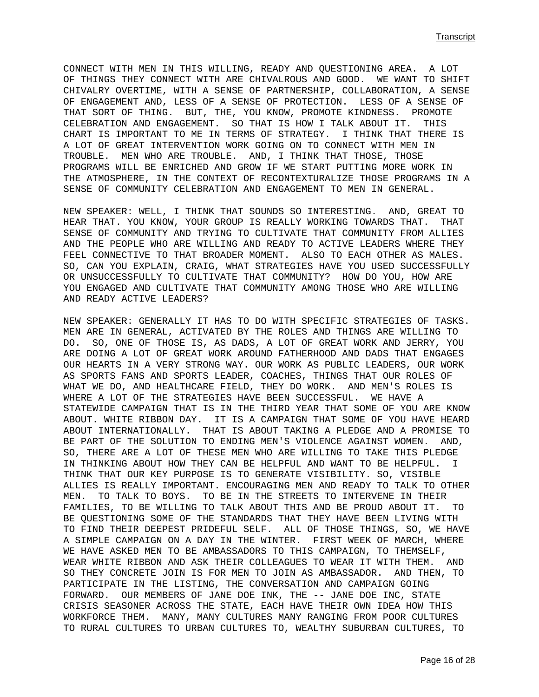CONNECT WITH MEN IN THIS WILLING, READY AND QUESTIONING AREA. A LOT OF THINGS THEY CONNECT WITH ARE CHIVALROUS AND GOOD. WE WANT TO SHIFT CHIVALRY OVERTIME, WITH A SENSE OF PARTNERSHIP, COLLABORATION, A SENSE OF ENGAGEMENT AND, LESS OF A SENSE OF PROTECTION. LESS OF A SENSE OF THAT SORT OF THING. BUT, THE, YOU KNOW, PROMOTE KINDNESS. PROMOTE CELEBRATION AND ENGAGEMENT. SO THAT IS HOW I TALK ABOUT IT. THIS CHART IS IMPORTANT TO ME IN TERMS OF STRATEGY. I THINK THAT THERE IS A LOT OF GREAT INTERVENTION WORK GOING ON TO CONNECT WITH MEN IN TROUBLE. MEN WHO ARE TROUBLE. AND, I THINK THAT THOSE, THOSE PROGRAMS WILL BE ENRICHED AND GROW IF WE START PUTTING MORE WORK IN THE ATMOSPHERE, IN THE CONTEXT OF RECONTEXTURALIZE THOSE PROGRAMS IN A SENSE OF COMMUNITY CELEBRATION AND ENGAGEMENT TO MEN IN GENERAL.

NEW SPEAKER: WELL, I THINK THAT SOUNDS SO INTERESTING. AND, GREAT TO HEAR THAT. YOU KNOW, YOUR GROUP IS REALLY WORKING TOWARDS THAT. THAT SENSE OF COMMUNITY AND TRYING TO CULTIVATE THAT COMMUNITY FROM ALLIES AND THE PEOPLE WHO ARE WILLING AND READY TO ACTIVE LEADERS WHERE THEY FEEL CONNECTIVE TO THAT BROADER MOMENT. ALSO TO EACH OTHER AS MALES. SO, CAN YOU EXPLAIN, CRAIG, WHAT STRATEGIES HAVE YOU USED SUCCESSFULLY OR UNSUCCESSFULLY TO CULTIVATE THAT COMMUNITY? HOW DO YOU, HOW ARE YOU ENGAGED AND CULTIVATE THAT COMMUNITY AMONG THOSE WHO ARE WILLING AND READY ACTIVE LEADERS?

NEW SPEAKER: GENERALLY IT HAS TO DO WITH SPECIFIC STRATEGIES OF TASKS. MEN ARE IN GENERAL, ACTIVATED BY THE ROLES AND THINGS ARE WILLING TO DO. SO, ONE OF THOSE IS, AS DADS, A LOT OF GREAT WORK AND JERRY, YOU ARE DOING A LOT OF GREAT WORK AROUND FATHERHOOD AND DADS THAT ENGAGES OUR HEARTS IN A VERY STRONG WAY. OUR WORK AS PUBLIC LEADERS, OUR WORK AS SPORTS FANS AND SPORTS LEADER, COACHES, THINGS THAT OUR ROLES OF WHAT WE DO, AND HEALTHCARE FIELD, THEY DO WORK. AND MEN'S ROLES IS WHERE A LOT OF THE STRATEGIES HAVE BEEN SUCCESSFUL. WE HAVE A STATEWIDE CAMPAIGN THAT IS IN THE THIRD YEAR THAT SOME OF YOU ARE KNOW ABOUT. WHITE RIBBON DAY. IT IS A CAMPAIGN THAT SOME OF YOU HAVE HEARD ABOUT INTERNATIONALLY. THAT IS ABOUT TAKING A PLEDGE AND A PROMISE TO BE PART OF THE SOLUTION TO ENDING MEN'S VIOLENCE AGAINST WOMEN. AND, SO, THERE ARE A LOT OF THESE MEN WHO ARE WILLING TO TAKE THIS PLEDGE IN THINKING ABOUT HOW THEY CAN BE HELPFUL AND WANT TO BE HELPFUL. I THINK THAT OUR KEY PURPOSE IS TO GENERATE VISIBILITY. SO, VISIBLE ALLIES IS REALLY IMPORTANT. ENCOURAGING MEN AND READY TO TALK TO OTHER MEN. TO TALK TO BOYS. TO BE IN THE STREETS TO INTERVENE IN THEIR FAMILIES, TO BE WILLING TO TALK ABOUT THIS AND BE PROUD ABOUT IT. TO BE QUESTIONING SOME OF THE STANDARDS THAT THEY HAVE BEEN LIVING WITH TO FIND THEIR DEEPEST PRIDEFUL SELF. ALL OF THOSE THINGS, SO, WE HAVE A SIMPLE CAMPAIGN ON A DAY IN THE WINTER. FIRST WEEK OF MARCH, WHERE WE HAVE ASKED MEN TO BE AMBASSADORS TO THIS CAMPAIGN, TO THEMSELF, WEAR WHITE RIBBON AND ASK THEIR COLLEAGUES TO WEAR IT WITH THEM. AND SO THEY CONCRETE JOIN IS FOR MEN TO JOIN AS AMBASSADOR. AND THEN, TO PARTICIPATE IN THE LISTING, THE CONVERSATION AND CAMPAIGN GOING FORWARD. OUR MEMBERS OF JANE DOE INK, THE -- JANE DOE INC, STATE CRISIS SEASONER ACROSS THE STATE, EACH HAVE THEIR OWN IDEA HOW THIS WORKFORCE THEM. MANY, MANY CULTURES MANY RANGING FROM POOR CULTURES TO RURAL CULTURES TO URBAN CULTURES TO, WEALTHY SUBURBAN CULTURES, TO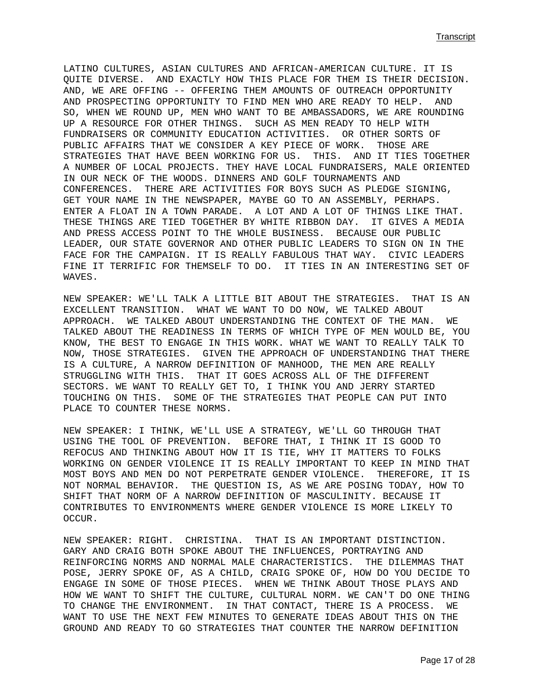LATINO CULTURES, ASIAN CULTURES AND AFRICAN-AMERICAN CULTURE. IT IS QUITE DIVERSE. AND EXACTLY HOW THIS PLACE FOR THEM IS THEIR DECISION. AND, WE ARE OFFING -- OFFERING THEM AMOUNTS OF OUTREACH OPPORTUNITY AND PROSPECTING OPPORTUNITY TO FIND MEN WHO ARE READY TO HELP. AND SO, WHEN WE ROUND UP, MEN WHO WANT TO BE AMBASSADORS, WE ARE ROUNDING UP A RESOURCE FOR OTHER THINGS. SUCH AS MEN READY TO HELP WITH FUNDRAISERS OR COMMUNITY EDUCATION ACTIVITIES. OR OTHER SORTS OF PUBLIC AFFAIRS THAT WE CONSIDER A KEY PIECE OF WORK. THOSE ARE STRATEGIES THAT HAVE BEEN WORKING FOR US. THIS. AND IT TIES TOGETHER A NUMBER OF LOCAL PROJECTS. THEY HAVE LOCAL FUNDRAISERS, MALE ORIENTED IN OUR NECK OF THE WOODS. DINNERS AND GOLF TOURNAMENTS AND CONFERENCES. THERE ARE ACTIVITIES FOR BOYS SUCH AS PLEDGE SIGNING, GET YOUR NAME IN THE NEWSPAPER, MAYBE GO TO AN ASSEMBLY, PERHAPS. ENTER A FLOAT IN A TOWN PARADE. A LOT AND A LOT OF THINGS LIKE THAT. THESE THINGS ARE TIED TOGETHER BY WHITE RIBBON DAY. IT GIVES A MEDIA AND PRESS ACCESS POINT TO THE WHOLE BUSINESS. BECAUSE OUR PUBLIC LEADER, OUR STATE GOVERNOR AND OTHER PUBLIC LEADERS TO SIGN ON IN THE FACE FOR THE CAMPAIGN. IT IS REALLY FABULOUS THAT WAY. CIVIC LEADERS FINE IT TERRIFIC FOR THEMSELF TO DO. IT TIES IN AN INTERESTING SET OF WAVES.

NEW SPEAKER: WE'LL TALK A LITTLE BIT ABOUT THE STRATEGIES. THAT IS AN EXCELLENT TRANSITION. WHAT WE WANT TO DO NOW, WE TALKED ABOUT APPROACH. WE TALKED ABOUT UNDERSTANDING THE CONTEXT OF THE MAN. WE TALKED ABOUT THE READINESS IN TERMS OF WHICH TYPE OF MEN WOULD BE, YOU KNOW, THE BEST TO ENGAGE IN THIS WORK. WHAT WE WANT TO REALLY TALK TO NOW, THOSE STRATEGIES. GIVEN THE APPROACH OF UNDERSTANDING THAT THERE IS A CULTURE, A NARROW DEFINITION OF MANHOOD, THE MEN ARE REALLY STRUGGLING WITH THIS. THAT IT GOES ACROSS ALL OF THE DIFFERENT SECTORS. WE WANT TO REALLY GET TO, I THINK YOU AND JERRY STARTED TOUCHING ON THIS. SOME OF THE STRATEGIES THAT PEOPLE CAN PUT INTO PLACE TO COUNTER THESE NORMS.

NEW SPEAKER: I THINK, WE'LL USE A STRATEGY, WE'LL GO THROUGH THAT USING THE TOOL OF PREVENTION. BEFORE THAT, I THINK IT IS GOOD TO REFOCUS AND THINKING ABOUT HOW IT IS TIE, WHY IT MATTERS TO FOLKS WORKING ON GENDER VIOLENCE IT IS REALLY IMPORTANT TO KEEP IN MIND THAT MOST BOYS AND MEN DO NOT PERPETRATE GENDER VIOLENCE. THEREFORE, IT IS NOT NORMAL BEHAVIOR. THE QUESTION IS, AS WE ARE POSING TODAY, HOW TO SHIFT THAT NORM OF A NARROW DEFINITION OF MASCULINITY. BECAUSE IT CONTRIBUTES TO ENVIRONMENTS WHERE GENDER VIOLENCE IS MORE LIKELY TO OCCUR.

NEW SPEAKER: RIGHT. CHRISTINA. THAT IS AN IMPORTANT DISTINCTION. GARY AND CRAIG BOTH SPOKE ABOUT THE INFLUENCES, PORTRAYING AND REINFORCING NORMS AND NORMAL MALE CHARACTERISTICS. THE DILEMMAS THAT POSE, JERRY SPOKE OF, AS A CHILD, CRAIG SPOKE OF, HOW DO YOU DECIDE TO ENGAGE IN SOME OF THOSE PIECES. WHEN WE THINK ABOUT THOSE PLAYS AND HOW WE WANT TO SHIFT THE CULTURE, CULTURAL NORM. WE CAN'T DO ONE THING TO CHANGE THE ENVIRONMENT. IN THAT CONTACT, THERE IS A PROCESS. WE WANT TO USE THE NEXT FEW MINUTES TO GENERATE IDEAS ABOUT THIS ON THE GROUND AND READY TO GO STRATEGIES THAT COUNTER THE NARROW DEFINITION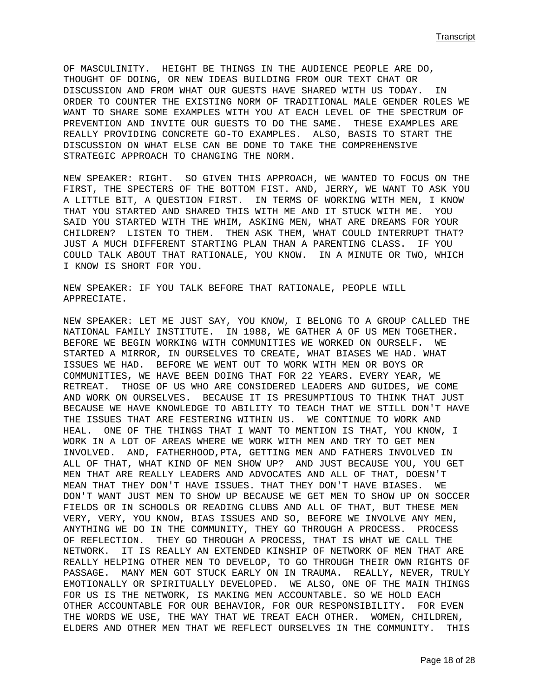OF MASCULINITY. HEIGHT BE THINGS IN THE AUDIENCE PEOPLE ARE DO, THOUGHT OF DOING, OR NEW IDEAS BUILDING FROM OUR TEXT CHAT OR DISCUSSION AND FROM WHAT OUR GUESTS HAVE SHARED WITH US TODAY. IN ORDER TO COUNTER THE EXISTING NORM OF TRADITIONAL MALE GENDER ROLES WE WANT TO SHARE SOME EXAMPLES WITH YOU AT EACH LEVEL OF THE SPECTRUM OF PREVENTION AND INVITE OUR GUESTS TO DO THE SAME. THESE EXAMPLES ARE REALLY PROVIDING CONCRETE GO-TO EXAMPLES. ALSO, BASIS TO START THE DISCUSSION ON WHAT ELSE CAN BE DONE TO TAKE THE COMPREHENSIVE STRATEGIC APPROACH TO CHANGING THE NORM.

NEW SPEAKER: RIGHT. SO GIVEN THIS APPROACH, WE WANTED TO FOCUS ON THE FIRST, THE SPECTERS OF THE BOTTOM FIST. AND, JERRY, WE WANT TO ASK YOU A LITTLE BIT, A QUESTION FIRST. IN TERMS OF WORKING WITH MEN, I KNOW THAT YOU STARTED AND SHARED THIS WITH ME AND IT STUCK WITH ME. YOU SAID YOU STARTED WITH THE WHIM, ASKING MEN, WHAT ARE DREAMS FOR YOUR CHILDREN? LISTEN TO THEM. THEN ASK THEM, WHAT COULD INTERRUPT THAT? JUST A MUCH DIFFERENT STARTING PLAN THAN A PARENTING CLASS. IF YOU COULD TALK ABOUT THAT RATIONALE, YOU KNOW. IN A MINUTE OR TWO, WHICH I KNOW IS SHORT FOR YOU.

NEW SPEAKER: IF YOU TALK BEFORE THAT RATIONALE, PEOPLE WILL APPRECIATE.

NEW SPEAKER: LET ME JUST SAY, YOU KNOW, I BELONG TO A GROUP CALLED THE NATIONAL FAMILY INSTITUTE. IN 1988, WE GATHER A OF US MEN TOGETHER. BEFORE WE BEGIN WORKING WITH COMMUNITIES WE WORKED ON OURSELF. WE STARTED A MIRROR, IN OURSELVES TO CREATE, WHAT BIASES WE HAD. WHAT ISSUES WE HAD. BEFORE WE WENT OUT TO WORK WITH MEN OR BOYS OR COMMUNITIES, WE HAVE BEEN DOING THAT FOR 22 YEARS. EVERY YEAR, WE RETREAT. THOSE OF US WHO ARE CONSIDERED LEADERS AND GUIDES, WE COME AND WORK ON OURSELVES. BECAUSE IT IS PRESUMPTIOUS TO THINK THAT JUST BECAUSE WE HAVE KNOWLEDGE TO ABILITY TO TEACH THAT WE STILL DON'T HAVE THE ISSUES THAT ARE FESTERING WITHIN US. WE CONTINUE TO WORK AND HEAL. ONE OF THE THINGS THAT I WANT TO MENTION IS THAT, YOU KNOW, I WORK IN A LOT OF AREAS WHERE WE WORK WITH MEN AND TRY TO GET MEN INVOLVED. AND, FATHERHOOD,PTA, GETTING MEN AND FATHERS INVOLVED IN ALL OF THAT, WHAT KIND OF MEN SHOW UP? AND JUST BECAUSE YOU, YOU GET MEN THAT ARE REALLY LEADERS AND ADVOCATES AND ALL OF THAT, DOESN'T MEAN THAT THEY DON'T HAVE ISSUES. THAT THEY DON'T HAVE BIASES. WE DON'T WANT JUST MEN TO SHOW UP BECAUSE WE GET MEN TO SHOW UP ON SOCCER FIELDS OR IN SCHOOLS OR READING CLUBS AND ALL OF THAT, BUT THESE MEN VERY, VERY, YOU KNOW, BIAS ISSUES AND SO, BEFORE WE INVOLVE ANY MEN, ANYTHING WE DO IN THE COMMUNITY, THEY GO THROUGH A PROCESS. PROCESS OF REFLECTION. THEY GO THROUGH A PROCESS, THAT IS WHAT WE CALL THE NETWORK. IT IS REALLY AN EXTENDED KINSHIP OF NETWORK OF MEN THAT ARE REALLY HELPING OTHER MEN TO DEVELOP, TO GO THROUGH THEIR OWN RIGHTS OF PASSAGE. MANY MEN GOT STUCK EARLY ON IN TRAUMA. REALLY, NEVER, TRULY EMOTIONALLY OR SPIRITUALLY DEVELOPED. WE ALSO, ONE OF THE MAIN THINGS FOR US IS THE NETWORK, IS MAKING MEN ACCOUNTABLE. SO WE HOLD EACH OTHER ACCOUNTABLE FOR OUR BEHAVIOR, FOR OUR RESPONSIBILITY. FOR EVEN THE WORDS WE USE, THE WAY THAT WE TREAT EACH OTHER. WOMEN, CHILDREN, ELDERS AND OTHER MEN THAT WE REFLECT OURSELVES IN THE COMMUNITY. THIS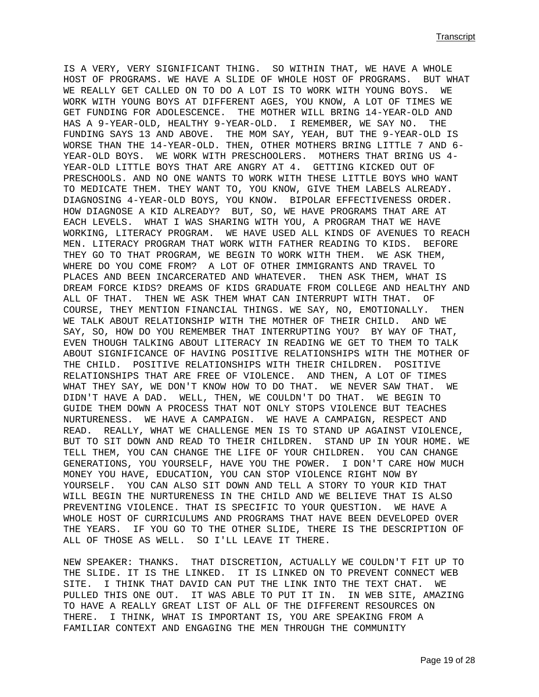IS A VERY, VERY SIGNIFICANT THING. SO WITHIN THAT, WE HAVE A WHOLE HOST OF PROGRAMS. WE HAVE A SLIDE OF WHOLE HOST OF PROGRAMS. BUT WHAT WE REALLY GET CALLED ON TO DO A LOT IS TO WORK WITH YOUNG BOYS. WE WORK WITH YOUNG BOYS AT DIFFERENT AGES, YOU KNOW, A LOT OF TIMES WE GET FUNDING FOR ADOLESCENCE. THE MOTHER WILL BRING 14-YEAR-OLD AND HAS A 9-YEAR-OLD, HEALTHY 9-YEAR-OLD. I REMEMBER, WE SAY NO. THE FUNDING SAYS 13 AND ABOVE. THE MOM SAY, YEAH, BUT THE 9-YEAR-OLD IS WORSE THAN THE 14-YEAR-OLD. THEN, OTHER MOTHERS BRING LITTLE 7 AND 6- YEAR-OLD BOYS. WE WORK WITH PRESCHOOLERS. MOTHERS THAT BRING US 4- YEAR-OLD LITTLE BOYS THAT ARE ANGRY AT 4. GETTING KICKED OUT OF PRESCHOOLS. AND NO ONE WANTS TO WORK WITH THESE LITTLE BOYS WHO WANT TO MEDICATE THEM. THEY WANT TO, YOU KNOW, GIVE THEM LABELS ALREADY. DIAGNOSING 4-YEAR-OLD BOYS, YOU KNOW. BIPOLAR EFFECTIVENESS ORDER. HOW DIAGNOSE A KID ALREADY? BUT, SO, WE HAVE PROGRAMS THAT ARE AT EACH LEVELS. WHAT I WAS SHARING WITH YOU, A PROGRAM THAT WE HAVE WORKING, LITERACY PROGRAM. WE HAVE USED ALL KINDS OF AVENUES TO REACH MEN. LITERACY PROGRAM THAT WORK WITH FATHER READING TO KIDS. BEFORE THEY GO TO THAT PROGRAM, WE BEGIN TO WORK WITH THEM. WE ASK THEM, WHERE DO YOU COME FROM? A LOT OF OTHER IMMIGRANTS AND TRAVEL TO PLACES AND BEEN INCARCERATED AND WHATEVER. THEN ASK THEM, WHAT IS DREAM FORCE KIDS? DREAMS OF KIDS GRADUATE FROM COLLEGE AND HEALTHY AND ALL OF THAT. THEN WE ASK THEM WHAT CAN INTERRUPT WITH THAT. OF COURSE, THEY MENTION FINANCIAL THINGS. WE SAY, NO, EMOTIONALLY. THEN WE TALK ABOUT RELATIONSHIP WITH THE MOTHER OF THEIR CHILD. AND WE SAY, SO, HOW DO YOU REMEMBER THAT INTERRUPTING YOU? BY WAY OF THAT, EVEN THOUGH TALKING ABOUT LITERACY IN READING WE GET TO THEM TO TALK ABOUT SIGNIFICANCE OF HAVING POSITIVE RELATIONSHIPS WITH THE MOTHER OF THE CHILD. POSITIVE RELATIONSHIPS WITH THEIR CHILDREN. POSITIVE RELATIONSHIPS THAT ARE FREE OF VIOLENCE. AND THEN, A LOT OF TIMES WHAT THEY SAY, WE DON'T KNOW HOW TO DO THAT. WE NEVER SAW THAT. WE DIDN'T HAVE A DAD. WELL, THEN, WE COULDN'T DO THAT. WE BEGIN TO GUIDE THEM DOWN A PROCESS THAT NOT ONLY STOPS VIOLENCE BUT TEACHES NURTURENESS. WE HAVE A CAMPAIGN. WE HAVE A CAMPAIGN, RESPECT AND READ. REALLY, WHAT WE CHALLENGE MEN IS TO STAND UP AGAINST VIOLENCE, BUT TO SIT DOWN AND READ TO THEIR CHILDREN. STAND UP IN YOUR HOME. WE TELL THEM, YOU CAN CHANGE THE LIFE OF YOUR CHILDREN. YOU CAN CHANGE GENERATIONS, YOU YOURSELF, HAVE YOU THE POWER. I DON'T CARE HOW MUCH MONEY YOU HAVE, EDUCATION, YOU CAN STOP VIOLENCE RIGHT NOW BY YOURSELF. YOU CAN ALSO SIT DOWN AND TELL A STORY TO YOUR KID THAT WILL BEGIN THE NURTURENESS IN THE CHILD AND WE BELIEVE THAT IS ALSO PREVENTING VIOLENCE. THAT IS SPECIFIC TO YOUR QUESTION. WE HAVE A WHOLE HOST OF CURRICULUMS AND PROGRAMS THAT HAVE BEEN DEVELOPED OVER THE YEARS. IF YOU GO TO THE OTHER SLIDE, THERE IS THE DESCRIPTION OF ALL OF THOSE AS WELL. SO I'LL LEAVE IT THERE.

NEW SPEAKER: THANKS. THAT DISCRETION, ACTUALLY WE COULDN'T FIT UP TO THE SLIDE. IT IS THE LINKED. IT IS LINKED ON TO PREVENT CONNECT WEB SITE. I THINK THAT DAVID CAN PUT THE LINK INTO THE TEXT CHAT. WE PULLED THIS ONE OUT. IT WAS ABLE TO PUT IT IN. IN WEB SITE, AMAZING TO HAVE A REALLY GREAT LIST OF ALL OF THE DIFFERENT RESOURCES ON THERE. I THINK, WHAT IS IMPORTANT IS, YOU ARE SPEAKING FROM A FAMILIAR CONTEXT AND ENGAGING THE MEN THROUGH THE COMMUNITY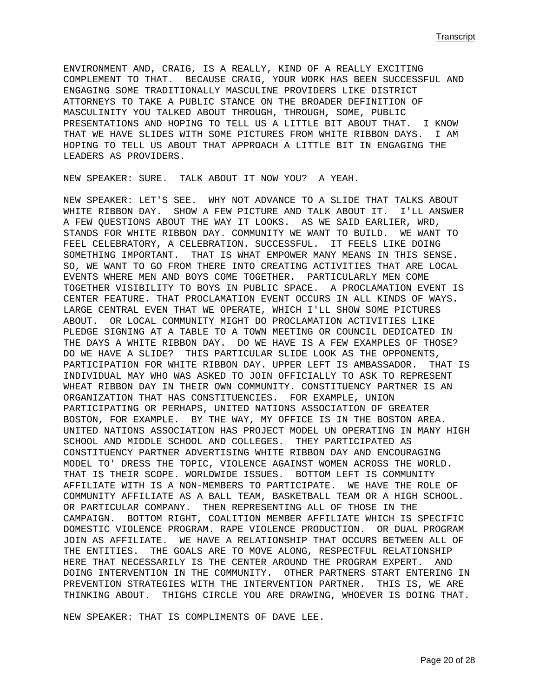ENVIRONMENT AND, CRAIG, IS A REALLY, KIND OF A REALLY EXCITING COMPLEMENT TO THAT. BECAUSE CRAIG, YOUR WORK HAS BEEN SUCCESSFUL AND ENGAGING SOME TRADITIONALLY MASCULINE PROVIDERS LIKE DISTRICT ATTORNEYS TO TAKE A PUBLIC STANCE ON THE BROADER DEFINITION OF MASCULINITY YOU TALKED ABOUT THROUGH, THROUGH, SOME, PUBLIC PRESENTATIONS AND HOPING TO TELL US A LITTLE BIT ABOUT THAT. I KNOW THAT WE HAVE SLIDES WITH SOME PICTURES FROM WHITE RIBBON DAYS. I AM HOPING TO TELL US ABOUT THAT APPROACH A LITTLE BIT IN ENGAGING THE LEADERS AS PROVIDERS.

NEW SPEAKER: SURE. TALK ABOUT IT NOW YOU? A YEAH.

NEW SPEAKER: LET'S SEE. WHY NOT ADVANCE TO A SLIDE THAT TALKS ABOUT WHITE RIBBON DAY. SHOW A FEW PICTURE AND TALK ABOUT IT. I'LL ANSWER A FEW QUESTIONS ABOUT THE WAY IT LOOKS. AS WE SAID EARLIER, WRD, STANDS FOR WHITE RIBBON DAY. COMMUNITY WE WANT TO BUILD. WE WANT TO FEEL CELEBRATORY, A CELEBRATION. SUCCESSFUL. IT FEELS LIKE DOING SOMETHING IMPORTANT. THAT IS WHAT EMPOWER MANY MEANS IN THIS SENSE. SO, WE WANT TO GO FROM THERE INTO CREATING ACTIVITIES THAT ARE LOCAL EVENTS WHERE MEN AND BOYS COME TOGETHER. PARTICULARLY MEN COME TOGETHER VISIBILITY TO BOYS IN PUBLIC SPACE. A PROCLAMATION EVENT IS CENTER FEATURE. THAT PROCLAMATION EVENT OCCURS IN ALL KINDS OF WAYS. LARGE CENTRAL EVEN THAT WE OPERATE, WHICH I'LL SHOW SOME PICTURES ABOUT. OR LOCAL COMMUNITY MIGHT DO PROCLAMATION ACTIVITIES LIKE PLEDGE SIGNING AT A TABLE TO A TOWN MEETING OR COUNCIL DEDICATED IN THE DAYS A WHITE RIBBON DAY. DO WE HAVE IS A FEW EXAMPLES OF THOSE? DO WE HAVE A SLIDE? THIS PARTICULAR SLIDE LOOK AS THE OPPONENTS, PARTICIPATION FOR WHITE RIBBON DAY. UPPER LEFT IS AMBASSADOR. THAT IS INDIVIDUAL MAY WHO WAS ASKED TO JOIN OFFICIALLY TO ASK TO REPRESENT WHEAT RIBBON DAY IN THEIR OWN COMMUNITY. CONSTITUENCY PARTNER IS AN ORGANIZATION THAT HAS CONSTITUENCIES. FOR EXAMPLE, UNION PARTICIPATING OR PERHAPS, UNITED NATIONS ASSOCIATION OF GREATER BOSTON, FOR EXAMPLE. BY THE WAY, MY OFFICE IS IN THE BOSTON AREA. UNITED NATIONS ASSOCIATION HAS PROJECT MODEL UN OPERATING IN MANY HIGH SCHOOL AND MIDDLE SCHOOL AND COLLEGES. THEY PARTICIPATED AS CONSTITUENCY PARTNER ADVERTISING WHITE RIBBON DAY AND ENCOURAGING MODEL TO' DRESS THE TOPIC, VIOLENCE AGAINST WOMEN ACROSS THE WORLD. THAT IS THEIR SCOPE. WORLDWIDE ISSUES. BOTTOM LEFT IS COMMUNITY AFFILIATE WITH IS A NON-MEMBERS TO PARTICIPATE. WE HAVE THE ROLE OF COMMUNITY AFFILIATE AS A BALL TEAM, BASKETBALL TEAM OR A HIGH SCHOOL. OR PARTICULAR COMPANY. THEN REPRESENTING ALL OF THOSE IN THE CAMPAIGN. BOTTOM RIGHT, COALITION MEMBER AFFILIATE WHICH IS SPECIFIC DOMESTIC VIOLENCE PROGRAM. RAPE VIOLENCE PRODUCTION. OR DUAL PROGRAM JOIN AS AFFILIATE. WE HAVE A RELATIONSHIP THAT OCCURS BETWEEN ALL OF THE ENTITIES. THE GOALS ARE TO MOVE ALONG, RESPECTFUL RELATIONSHIP HERE THAT NECESSARILY IS THE CENTER AROUND THE PROGRAM EXPERT. AND DOING INTERVENTION IN THE COMMUNITY. OTHER PARTNERS START ENTERING IN PREVENTION STRATEGIES WITH THE INTERVENTION PARTNER. THIS IS, WE ARE THINKING ABOUT. THIGHS CIRCLE YOU ARE DRAWING, WHOEVER IS DOING THAT.

NEW SPEAKER: THAT IS COMPLIMENTS OF DAVE LEE.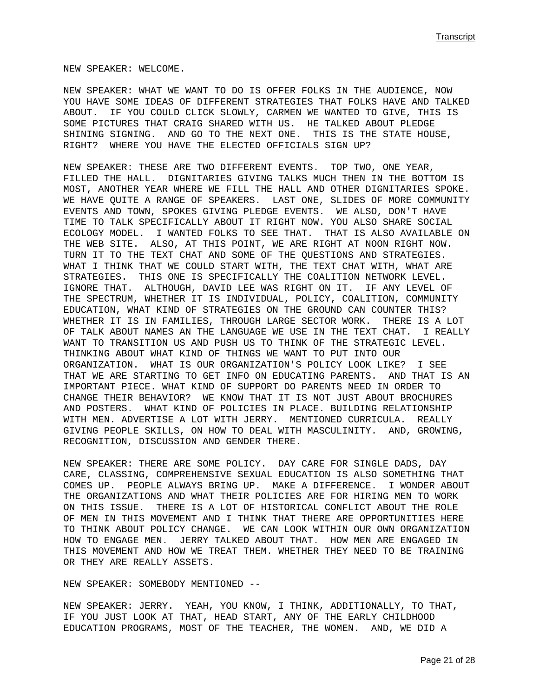NEW SPEAKER: WELCOME.

NEW SPEAKER: WHAT WE WANT TO DO IS OFFER FOLKS IN THE AUDIENCE, NOW YOU HAVE SOME IDEAS OF DIFFERENT STRATEGIES THAT FOLKS HAVE AND TALKED ABOUT. IF YOU COULD CLICK SLOWLY, CARMEN WE WANTED TO GIVE, THIS IS SOME PICTURES THAT CRAIG SHARED WITH US. HE TALKED ABOUT PLEDGE SHINING SIGNING. AND GO TO THE NEXT ONE. THIS IS THE STATE HOUSE, RIGHT? WHERE YOU HAVE THE ELECTED OFFICIALS SIGN UP?

NEW SPEAKER: THESE ARE TWO DIFFERENT EVENTS. TOP TWO, ONE YEAR, FILLED THE HALL. DIGNITARIES GIVING TALKS MUCH THEN IN THE BOTTOM IS MOST, ANOTHER YEAR WHERE WE FILL THE HALL AND OTHER DIGNITARIES SPOKE. WE HAVE QUITE A RANGE OF SPEAKERS. LAST ONE, SLIDES OF MORE COMMUNITY EVENTS AND TOWN, SPOKES GIVING PLEDGE EVENTS. WE ALSO, DON'T HAVE TIME TO TALK SPECIFICALLY ABOUT IT RIGHT NOW. YOU ALSO SHARE SOCIAL ECOLOGY MODEL. I WANTED FOLKS TO SEE THAT. THAT IS ALSO AVAILABLE ON THE WEB SITE. ALSO, AT THIS POINT, WE ARE RIGHT AT NOON RIGHT NOW. TURN IT TO THE TEXT CHAT AND SOME OF THE QUESTIONS AND STRATEGIES. WHAT I THINK THAT WE COULD START WITH, THE TEXT CHAT WITH, WHAT ARE STRATEGIES. THIS ONE IS SPECIFICALLY THE COALITION NETWORK LEVEL. IGNORE THAT. ALTHOUGH, DAVID LEE WAS RIGHT ON IT. IF ANY LEVEL OF THE SPECTRUM, WHETHER IT IS INDIVIDUAL, POLICY, COALITION, COMMUNITY EDUCATION, WHAT KIND OF STRATEGIES ON THE GROUND CAN COUNTER THIS? WHETHER IT IS IN FAMILIES, THROUGH LARGE SECTOR WORK. THERE IS A LOT OF TALK ABOUT NAMES AN THE LANGUAGE WE USE IN THE TEXT CHAT. I REALLY WANT TO TRANSITION US AND PUSH US TO THINK OF THE STRATEGIC LEVEL. THINKING ABOUT WHAT KIND OF THINGS WE WANT TO PUT INTO OUR ORGANIZATION. WHAT IS OUR ORGANIZATION'S POLICY LOOK LIKE? I SEE THAT WE ARE STARTING TO GET INFO ON EDUCATING PARENTS. AND THAT IS AN IMPORTANT PIECE. WHAT KIND OF SUPPORT DO PARENTS NEED IN ORDER TO CHANGE THEIR BEHAVIOR? WE KNOW THAT IT IS NOT JUST ABOUT BROCHURES AND POSTERS. WHAT KIND OF POLICIES IN PLACE. BUILDING RELATIONSHIP WITH MEN. ADVERTISE A LOT WITH JERRY. MENTIONED CURRICULA. REALLY GIVING PEOPLE SKILLS, ON HOW TO DEAL WITH MASCULINITY. AND, GROWING, RECOGNITION, DISCUSSION AND GENDER THERE.

NEW SPEAKER: THERE ARE SOME POLICY. DAY CARE FOR SINGLE DADS, DAY CARE, CLASSING, COMPREHENSIVE SEXUAL EDUCATION IS ALSO SOMETHING THAT COMES UP. PEOPLE ALWAYS BRING UP. MAKE A DIFFERENCE. I WONDER ABOUT THE ORGANIZATIONS AND WHAT THEIR POLICIES ARE FOR HIRING MEN TO WORK ON THIS ISSUE. THERE IS A LOT OF HISTORICAL CONFLICT ABOUT THE ROLE OF MEN IN THIS MOVEMENT AND I THINK THAT THERE ARE OPPORTUNITIES HERE TO THINK ABOUT POLICY CHANGE. WE CAN LOOK WITHIN OUR OWN ORGANIZATION HOW TO ENGAGE MEN. JERRY TALKED ABOUT THAT. HOW MEN ARE ENGAGED IN THIS MOVEMENT AND HOW WE TREAT THEM. WHETHER THEY NEED TO BE TRAINING OR THEY ARE REALLY ASSETS.

NEW SPEAKER: SOMEBODY MENTIONED --

NEW SPEAKER: JERRY. YEAH, YOU KNOW, I THINK, ADDITIONALLY, TO THAT, IF YOU JUST LOOK AT THAT, HEAD START, ANY OF THE EARLY CHILDHOOD EDUCATION PROGRAMS, MOST OF THE TEACHER, THE WOMEN. AND, WE DID A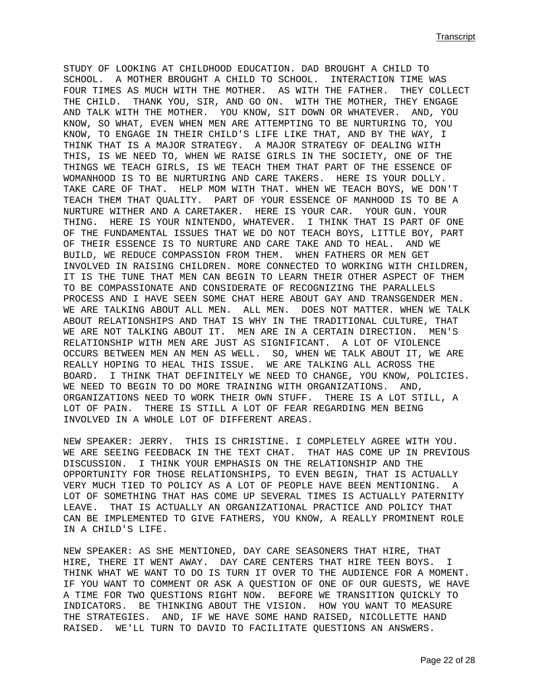STUDY OF LOOKING AT CHILDHOOD EDUCATION. DAD BROUGHT A CHILD TO SCHOOL. A MOTHER BROUGHT A CHILD TO SCHOOL. INTERACTION TIME WAS FOUR TIMES AS MUCH WITH THE MOTHER. AS WITH THE FATHER. THEY COLLECT THE CHILD. THANK YOU, SIR, AND GO ON. WITH THE MOTHER, THEY ENGAGE AND TALK WITH THE MOTHER. YOU KNOW, SIT DOWN OR WHATEVER. AND, YOU KNOW, SO WHAT, EVEN WHEN MEN ARE ATTEMPTING TO BE NURTURING TO, YOU KNOW, TO ENGAGE IN THEIR CHILD'S LIFE LIKE THAT, AND BY THE WAY, I THINK THAT IS A MAJOR STRATEGY. A MAJOR STRATEGY OF DEALING WITH THIS, IS WE NEED TO, WHEN WE RAISE GIRLS IN THE SOCIETY, ONE OF THE THINGS WE TEACH GIRLS, IS WE TEACH THEM THAT PART OF THE ESSENCE OF WOMANHOOD IS TO BE NURTURING AND CARE TAKERS. HERE IS YOUR DOLLY. TAKE CARE OF THAT. HELP MOM WITH THAT. WHEN WE TEACH BOYS, WE DON'T TEACH THEM THAT QUALITY. PART OF YOUR ESSENCE OF MANHOOD IS TO BE A NURTURE WITHER AND A CARETAKER. HERE IS YOUR CAR. YOUR GUN. YOUR THING. HERE IS YOUR NINTENDO, WHATEVER. I THINK THAT IS PART OF ONE OF THE FUNDAMENTAL ISSUES THAT WE DO NOT TEACH BOYS, LITTLE BOY, PART OF THEIR ESSENCE IS TO NURTURE AND CARE TAKE AND TO HEAL. AND WE BUILD, WE REDUCE COMPASSION FROM THEM. WHEN FATHERS OR MEN GET INVOLVED IN RAISING CHILDREN. MORE CONNECTED TO WORKING WITH CHILDREN, IT IS THE TUNE THAT MEN CAN BEGIN TO LEARN THEIR OTHER ASPECT OF THEM TO BE COMPASSIONATE AND CONSIDERATE OF RECOGNIZING THE PARALLELS PROCESS AND I HAVE SEEN SOME CHAT HERE ABOUT GAY AND TRANSGENDER MEN. WE ARE TALKING ABOUT ALL MEN. ALL MEN. DOES NOT MATTER. WHEN WE TALK ABOUT RELATIONSHIPS AND THAT IS WHY IN THE TRADITIONAL CULTURE, THAT WE ARE NOT TALKING ABOUT IT. MEN ARE IN A CERTAIN DIRECTION. MEN'S RELATIONSHIP WITH MEN ARE JUST AS SIGNIFICANT. A LOT OF VIOLENCE OCCURS BETWEEN MEN AN MEN AS WELL. SO, WHEN WE TALK ABOUT IT, WE ARE REALLY HOPING TO HEAL THIS ISSUE. WE ARE TALKING ALL ACROSS THE BOARD. I THINK THAT DEFINITELY WE NEED TO CHANGE, YOU KNOW, POLICIES. WE NEED TO BEGIN TO DO MORE TRAINING WITH ORGANIZATIONS. AND, ORGANIZATIONS NEED TO WORK THEIR OWN STUFF. THERE IS A LOT STILL, A LOT OF PAIN. THERE IS STILL A LOT OF FEAR REGARDING MEN BEING INVOLVED IN A WHOLE LOT OF DIFFERENT AREAS.

NEW SPEAKER: JERRY. THIS IS CHRISTINE. I COMPLETELY AGREE WITH YOU. WE ARE SEEING FEEDBACK IN THE TEXT CHAT. THAT HAS COME UP IN PREVIOUS DISCUSSION. I THINK YOUR EMPHASIS ON THE RELATIONSHIP AND THE OPPORTUNITY FOR THOSE RELATIONSHIPS, TO EVEN BEGIN, THAT IS ACTUALLY VERY MUCH TIED TO POLICY AS A LOT OF PEOPLE HAVE BEEN MENTIONING. A LOT OF SOMETHING THAT HAS COME UP SEVERAL TIMES IS ACTUALLY PATERNITY LEAVE. THAT IS ACTUALLY AN ORGANIZATIONAL PRACTICE AND POLICY THAT CAN BE IMPLEMENTED TO GIVE FATHERS, YOU KNOW, A REALLY PROMINENT ROLE IN A CHILD'S LIFE.

NEW SPEAKER: AS SHE MENTIONED, DAY CARE SEASONERS THAT HIRE, THAT HIRE, THERE IT WENT AWAY. DAY CARE CENTERS THAT HIRE TEEN BOYS. I THINK WHAT WE WANT TO DO IS TURN IT OVER TO THE AUDIENCE FOR A MOMENT. IF YOU WANT TO COMMENT OR ASK A QUESTION OF ONE OF OUR GUESTS, WE HAVE A TIME FOR TWO QUESTIONS RIGHT NOW. BEFORE WE TRANSITION QUICKLY TO INDICATORS. BE THINKING ABOUT THE VISION. HOW YOU WANT TO MEASURE THE STRATEGIES. AND, IF WE HAVE SOME HAND RAISED, NICOLLETTE HAND RAISED. WE'LL TURN TO DAVID TO FACILITATE QUESTIONS AN ANSWERS.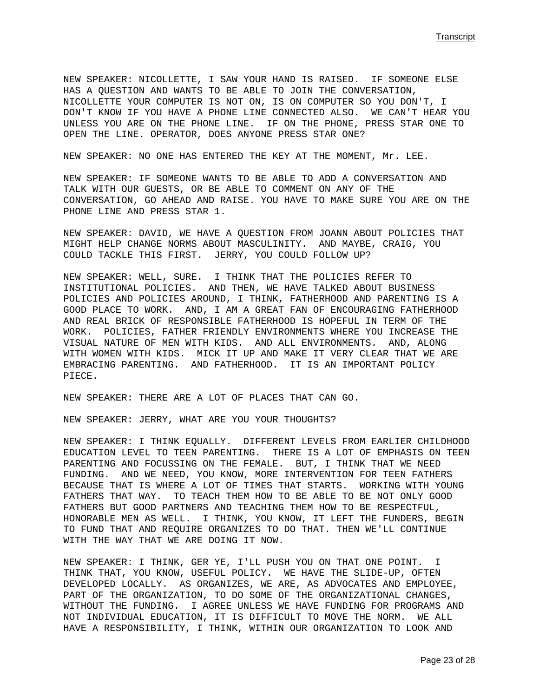**Transcript (1996)** Transcript (1996) Transcript (1997) Transcript (1997) Transcript (1997) Transcript (1997) Transcript (1997) Transcript (1997) Transcript (1997) Transcript (1997) Transcript (1997) Transcript (1997) Tran

NEW SPEAKER: NICOLLETTE, I SAW YOUR HAND IS RAISED. IF SOMEONE ELSE HAS A QUESTION AND WANTS TO BE ABLE TO JOIN THE CONVERSATION, NICOLLETTE YOUR COMPUTER IS NOT ON, IS ON COMPUTER SO YOU DON'T, I DON'T KNOW IF YOU HAVE A PHONE LINE CONNECTED ALSO. WE CAN'T HEAR YOU UNLESS YOU ARE ON THE PHONE LINE. IF ON THE PHONE, PRESS STAR ONE TO OPEN THE LINE. OPERATOR, DOES ANYONE PRESS STAR ONE?

NEW SPEAKER: NO ONE HAS ENTERED THE KEY AT THE MOMENT, Mr. LEE.

NEW SPEAKER: IF SOMEONE WANTS TO BE ABLE TO ADD A CONVERSATION AND TALK WITH OUR GUESTS, OR BE ABLE TO COMMENT ON ANY OF THE CONVERSATION, GO AHEAD AND RAISE. YOU HAVE TO MAKE SURE YOU ARE ON THE PHONE LINE AND PRESS STAR 1.

NEW SPEAKER: DAVID, WE HAVE A QUESTION FROM JOANN ABOUT POLICIES THAT MIGHT HELP CHANGE NORMS ABOUT MASCULINITY. AND MAYBE, CRAIG, YOU COULD TACKLE THIS FIRST. JERRY, YOU COULD FOLLOW UP?

NEW SPEAKER: WELL, SURE. I THINK THAT THE POLICIES REFER TO INSTITUTIONAL POLICIES. AND THEN, WE HAVE TALKED ABOUT BUSINESS POLICIES AND POLICIES AROUND, I THINK, FATHERHOOD AND PARENTING IS A GOOD PLACE TO WORK. AND, I AM A GREAT FAN OF ENCOURAGING FATHERHOOD AND REAL BRICK OF RESPONSIBLE FATHERHOOD IS HOPEFUL IN TERM OF THE WORK. POLICIES, FATHER FRIENDLY ENVIRONMENTS WHERE YOU INCREASE THE VISUAL NATURE OF MEN WITH KIDS. AND ALL ENVIRONMENTS. AND, ALONG WITH WOMEN WITH KIDS. MICK IT UP AND MAKE IT VERY CLEAR THAT WE ARE EMBRACING PARENTING. AND FATHERHOOD. IT IS AN IMPORTANT POLICY PIECE.

NEW SPEAKER: THERE ARE A LOT OF PLACES THAT CAN GO.

NEW SPEAKER: JERRY, WHAT ARE YOU YOUR THOUGHTS?

NEW SPEAKER: I THINK EQUALLY. DIFFERENT LEVELS FROM EARLIER CHILDHOOD EDUCATION LEVEL TO TEEN PARENTING. THERE IS A LOT OF EMPHASIS ON TEEN PARENTING AND FOCUSSING ON THE FEMALE. BUT, I THINK THAT WE NEED FUNDING. AND WE NEED, YOU KNOW, MORE INTERVENTION FOR TEEN FATHERS BECAUSE THAT IS WHERE A LOT OF TIMES THAT STARTS. WORKING WITH YOUNG FATHERS THAT WAY. TO TEACH THEM HOW TO BE ABLE TO BE NOT ONLY GOOD FATHERS BUT GOOD PARTNERS AND TEACHING THEM HOW TO BE RESPECTFUL, HONORABLE MEN AS WELL. I THINK, YOU KNOW, IT LEFT THE FUNDERS, BEGIN TO FUND THAT AND REQUIRE ORGANIZES TO DO THAT. THEN WE'LL CONTINUE WITH THE WAY THAT WE ARE DOING IT NOW.

NEW SPEAKER: I THINK, GER YE, I'LL PUSH YOU ON THAT ONE POINT. I THINK THAT, YOU KNOW, USEFUL POLICY. WE HAVE THE SLIDE-UP, OFTEN DEVELOPED LOCALLY. AS ORGANIZES, WE ARE, AS ADVOCATES AND EMPLOYEE, PART OF THE ORGANIZATION, TO DO SOME OF THE ORGANIZATIONAL CHANGES, WITHOUT THE FUNDING. I AGREE UNLESS WE HAVE FUNDING FOR PROGRAMS AND NOT INDIVIDUAL EDUCATION, IT IS DIFFICULT TO MOVE THE NORM. WE ALL HAVE A RESPONSIBILITY, I THINK, WITHIN OUR ORGANIZATION TO LOOK AND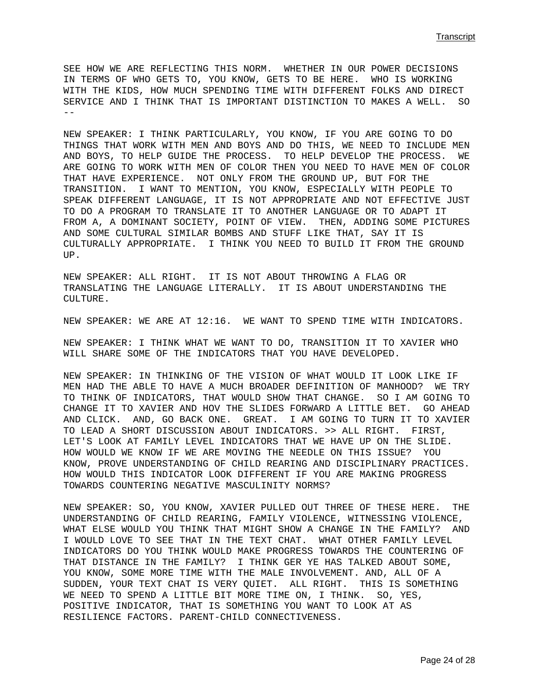SEE HOW WE ARE REFLECTING THIS NORM. WHETHER IN OUR POWER DECISIONS IN TERMS OF WHO GETS TO, YOU KNOW, GETS TO BE HERE. WHO IS WORKING WITH THE KIDS, HOW MUCH SPENDING TIME WITH DIFFERENT FOLKS AND DIRECT SERVICE AND I THINK THAT IS IMPORTANT DISTINCTION TO MAKES A WELL. SO --

NEW SPEAKER: I THINK PARTICULARLY, YOU KNOW, IF YOU ARE GOING TO DO THINGS THAT WORK WITH MEN AND BOYS AND DO THIS, WE NEED TO INCLUDE MEN AND BOYS, TO HELP GUIDE THE PROCESS. TO HELP DEVELOP THE PROCESS. WE ARE GOING TO WORK WITH MEN OF COLOR THEN YOU NEED TO HAVE MEN OF COLOR THAT HAVE EXPERIENCE. NOT ONLY FROM THE GROUND UP, BUT FOR THE TRANSITION. I WANT TO MENTION, YOU KNOW, ESPECIALLY WITH PEOPLE TO SPEAK DIFFERENT LANGUAGE, IT IS NOT APPROPRIATE AND NOT EFFECTIVE JUST TO DO A PROGRAM TO TRANSLATE IT TO ANOTHER LANGUAGE OR TO ADAPT IT FROM A, A DOMINANT SOCIETY, POINT OF VIEW. THEN, ADDING SOME PICTURES AND SOME CULTURAL SIMILAR BOMBS AND STUFF LIKE THAT, SAY IT IS CULTURALLY APPROPRIATE. I THINK YOU NEED TO BUILD IT FROM THE GROUND UP.

NEW SPEAKER: ALL RIGHT. IT IS NOT ABOUT THROWING A FLAG OR TRANSLATING THE LANGUAGE LITERALLY. IT IS ABOUT UNDERSTANDING THE CULTURE.

NEW SPEAKER: WE ARE AT 12:16. WE WANT TO SPEND TIME WITH INDICATORS.

NEW SPEAKER: I THINK WHAT WE WANT TO DO, TRANSITION IT TO XAVIER WHO WILL SHARE SOME OF THE INDICATORS THAT YOU HAVE DEVELOPED.

NEW SPEAKER: IN THINKING OF THE VISION OF WHAT WOULD IT LOOK LIKE IF MEN HAD THE ABLE TO HAVE A MUCH BROADER DEFINITION OF MANHOOD? WE TRY TO THINK OF INDICATORS, THAT WOULD SHOW THAT CHANGE. SO I AM GOING TO CHANGE IT TO XAVIER AND HOV THE SLIDES FORWARD A LITTLE BET. GO AHEAD AND CLICK. AND, GO BACK ONE. GREAT. I AM GOING TO TURN IT TO XAVIER TO LEAD A SHORT DISCUSSION ABOUT INDICATORS. >> ALL RIGHT. FIRST, LET'S LOOK AT FAMILY LEVEL INDICATORS THAT WE HAVE UP ON THE SLIDE. HOW WOULD WE KNOW IF WE ARE MOVING THE NEEDLE ON THIS ISSUE? YOU KNOW, PROVE UNDERSTANDING OF CHILD REARING AND DISCIPLINARY PRACTICES. HOW WOULD THIS INDICATOR LOOK DIFFERENT IF YOU ARE MAKING PROGRESS TOWARDS COUNTERING NEGATIVE MASCULINITY NORMS?

NEW SPEAKER: SO, YOU KNOW, XAVIER PULLED OUT THREE OF THESE HERE. THE UNDERSTANDING OF CHILD REARING, FAMILY VIOLENCE, WITNESSING VIOLENCE, WHAT ELSE WOULD YOU THINK THAT MIGHT SHOW A CHANGE IN THE FAMILY? AND I WOULD LOVE TO SEE THAT IN THE TEXT CHAT. WHAT OTHER FAMILY LEVEL INDICATORS DO YOU THINK WOULD MAKE PROGRESS TOWARDS THE COUNTERING OF THAT DISTANCE IN THE FAMILY? I THINK GER YE HAS TALKED ABOUT SOME, YOU KNOW, SOME MORE TIME WITH THE MALE INVOLVEMENT. AND, ALL OF A SUDDEN, YOUR TEXT CHAT IS VERY QUIET. ALL RIGHT. THIS IS SOMETHING WE NEED TO SPEND A LITTLE BIT MORE TIME ON, I THINK. SO, YES, POSITIVE INDICATOR, THAT IS SOMETHING YOU WANT TO LOOK AT AS RESILIENCE FACTORS. PARENT-CHILD CONNECTIVENESS.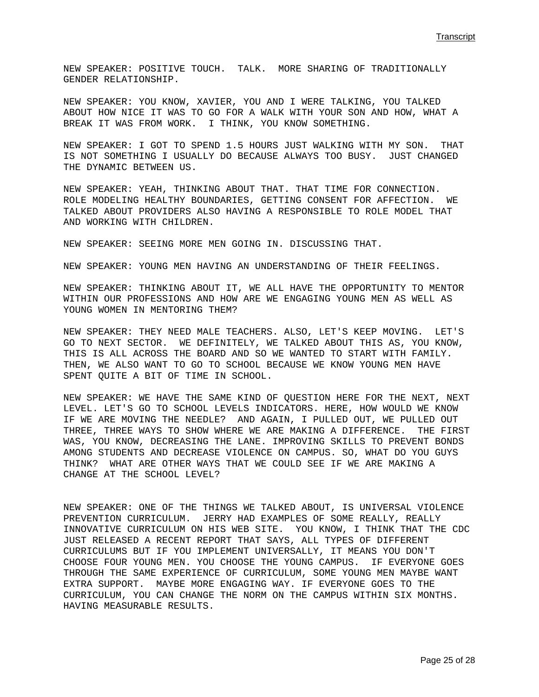NEW SPEAKER: POSITIVE TOUCH. TALK. MORE SHARING OF TRADITIONALLY GENDER RELATIONSHIP.

NEW SPEAKER: YOU KNOW, XAVIER, YOU AND I WERE TALKING, YOU TALKED ABOUT HOW NICE IT WAS TO GO FOR A WALK WITH YOUR SON AND HOW, WHAT A BREAK IT WAS FROM WORK. I THINK, YOU KNOW SOMETHING.

NEW SPEAKER: I GOT TO SPEND 1.5 HOURS JUST WALKING WITH MY SON. THAT IS NOT SOMETHING I USUALLY DO BECAUSE ALWAYS TOO BUSY. JUST CHANGED THE DYNAMIC BETWEEN US.

NEW SPEAKER: YEAH, THINKING ABOUT THAT. THAT TIME FOR CONNECTION. ROLE MODELING HEALTHY BOUNDARIES, GETTING CONSENT FOR AFFECTION. WE TALKED ABOUT PROVIDERS ALSO HAVING A RESPONSIBLE TO ROLE MODEL THAT AND WORKING WITH CHILDREN.

NEW SPEAKER: SEEING MORE MEN GOING IN. DISCUSSING THAT.

NEW SPEAKER: YOUNG MEN HAVING AN UNDERSTANDING OF THEIR FEELINGS.

NEW SPEAKER: THINKING ABOUT IT, WE ALL HAVE THE OPPORTUNITY TO MENTOR WITHIN OUR PROFESSIONS AND HOW ARE WE ENGAGING YOUNG MEN AS WELL AS YOUNG WOMEN IN MENTORING THEM?

NEW SPEAKER: THEY NEED MALE TEACHERS. ALSO, LET'S KEEP MOVING. LET'S GO TO NEXT SECTOR. WE DEFINITELY, WE TALKED ABOUT THIS AS, YOU KNOW, THIS IS ALL ACROSS THE BOARD AND SO WE WANTED TO START WITH FAMILY. THEN, WE ALSO WANT TO GO TO SCHOOL BECAUSE WE KNOW YOUNG MEN HAVE SPENT QUITE A BIT OF TIME IN SCHOOL.

NEW SPEAKER: WE HAVE THE SAME KIND OF QUESTION HERE FOR THE NEXT, NEXT LEVEL. LET'S GO TO SCHOOL LEVELS INDICATORS. HERE, HOW WOULD WE KNOW IF WE ARE MOVING THE NEEDLE? AND AGAIN, I PULLED OUT, WE PULLED OUT THREE, THREE WAYS TO SHOW WHERE WE ARE MAKING A DIFFERENCE. THE FIRST WAS, YOU KNOW, DECREASING THE LANE. IMPROVING SKILLS TO PREVENT BONDS AMONG STUDENTS AND DECREASE VIOLENCE ON CAMPUS. SO, WHAT DO YOU GUYS THINK? WHAT ARE OTHER WAYS THAT WE COULD SEE IF WE ARE MAKING A CHANGE AT THE SCHOOL LEVEL?

NEW SPEAKER: ONE OF THE THINGS WE TALKED ABOUT, IS UNIVERSAL VIOLENCE PREVENTION CURRICULUM. JERRY HAD EXAMPLES OF SOME REALLY, REALLY INNOVATIVE CURRICULUM ON HIS WEB SITE. YOU KNOW, I THINK THAT THE CDC JUST RELEASED A RECENT REPORT THAT SAYS, ALL TYPES OF DIFFERENT CURRICULUMS BUT IF YOU IMPLEMENT UNIVERSALLY, IT MEANS YOU DON'T CHOOSE FOUR YOUNG MEN. YOU CHOOSE THE YOUNG CAMPUS. IF EVERYONE GOES THROUGH THE SAME EXPERIENCE OF CURRICULUM, SOME YOUNG MEN MAYBE WANT EXTRA SUPPORT. MAYBE MORE ENGAGING WAY. IF EVERYONE GOES TO THE CURRICULUM, YOU CAN CHANGE THE NORM ON THE CAMPUS WITHIN SIX MONTHS. HAVING MEASURABLE RESULTS.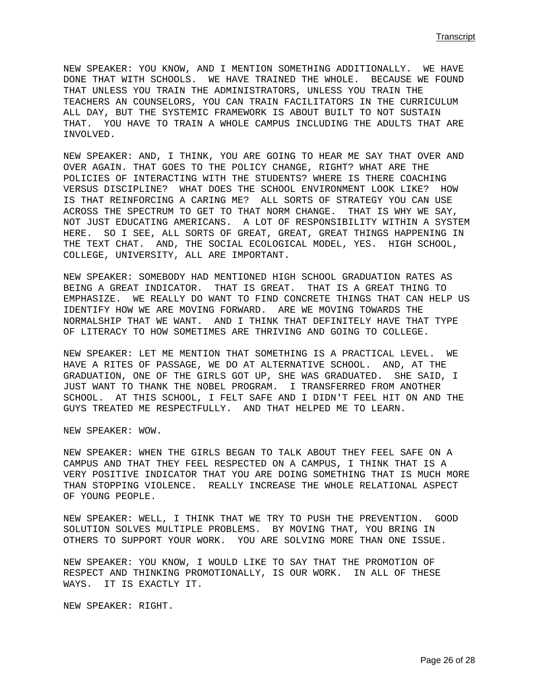NEW SPEAKER: YOU KNOW, AND I MENTION SOMETHING ADDITIONALLY. WE HAVE DONE THAT WITH SCHOOLS. WE HAVE TRAINED THE WHOLE. BECAUSE WE FOUND THAT UNLESS YOU TRAIN THE ADMINISTRATORS, UNLESS YOU TRAIN THE TEACHERS AN COUNSELORS, YOU CAN TRAIN FACILITATORS IN THE CURRICULUM ALL DAY, BUT THE SYSTEMIC FRAMEWORK IS ABOUT BUILT TO NOT SUSTAIN THAT. YOU HAVE TO TRAIN A WHOLE CAMPUS INCLUDING THE ADULTS THAT ARE INVOLVED.

NEW SPEAKER: AND, I THINK, YOU ARE GOING TO HEAR ME SAY THAT OVER AND OVER AGAIN. THAT GOES TO THE POLICY CHANGE, RIGHT? WHAT ARE THE POLICIES OF INTERACTING WITH THE STUDENTS? WHERE IS THERE COACHING VERSUS DISCIPLINE? WHAT DOES THE SCHOOL ENVIRONMENT LOOK LIKE? HOW IS THAT REINFORCING A CARING ME? ALL SORTS OF STRATEGY YOU CAN USE ACROSS THE SPECTRUM TO GET TO THAT NORM CHANGE. THAT IS WHY WE SAY, NOT JUST EDUCATING AMERICANS. A LOT OF RESPONSIBILITY WITHIN A SYSTEM HERE. SO I SEE, ALL SORTS OF GREAT, GREAT, GREAT THINGS HAPPENING IN THE TEXT CHAT. AND, THE SOCIAL ECOLOGICAL MODEL, YES. HIGH SCHOOL, COLLEGE, UNIVERSITY, ALL ARE IMPORTANT.

NEW SPEAKER: SOMEBODY HAD MENTIONED HIGH SCHOOL GRADUATION RATES AS BEING A GREAT INDICATOR. THAT IS GREAT. THAT IS A GREAT THING TO EMPHASIZE. WE REALLY DO WANT TO FIND CONCRETE THINGS THAT CAN HELP US IDENTIFY HOW WE ARE MOVING FORWARD. ARE WE MOVING TOWARDS THE NORMALSHIP THAT WE WANT. AND I THINK THAT DEFINITELY HAVE THAT TYPE OF LITERACY TO HOW SOMETIMES ARE THRIVING AND GOING TO COLLEGE.

NEW SPEAKER: LET ME MENTION THAT SOMETHING IS A PRACTICAL LEVEL. WE HAVE A RITES OF PASSAGE, WE DO AT ALTERNATIVE SCHOOL. AND, AT THE GRADUATION, ONE OF THE GIRLS GOT UP, SHE WAS GRADUATED. SHE SAID, I JUST WANT TO THANK THE NOBEL PROGRAM. I TRANSFERRED FROM ANOTHER SCHOOL. AT THIS SCHOOL, I FELT SAFE AND I DIDN'T FEEL HIT ON AND THE GUYS TREATED ME RESPECTFULLY. AND THAT HELPED ME TO LEARN.

NEW SPEAKER: WOW.

NEW SPEAKER: WHEN THE GIRLS BEGAN TO TALK ABOUT THEY FEEL SAFE ON A CAMPUS AND THAT THEY FEEL RESPECTED ON A CAMPUS, I THINK THAT IS A VERY POSITIVE INDICATOR THAT YOU ARE DOING SOMETHING THAT IS MUCH MORE THAN STOPPING VIOLENCE. REALLY INCREASE THE WHOLE RELATIONAL ASPECT OF YOUNG PEOPLE.

NEW SPEAKER: WELL, I THINK THAT WE TRY TO PUSH THE PREVENTION. GOOD SOLUTION SOLVES MULTIPLE PROBLEMS. BY MOVING THAT, YOU BRING IN OTHERS TO SUPPORT YOUR WORK. YOU ARE SOLVING MORE THAN ONE ISSUE.

NEW SPEAKER: YOU KNOW, I WOULD LIKE TO SAY THAT THE PROMOTION OF RESPECT AND THINKING PROMOTIONALLY, IS OUR WORK. IN ALL OF THESE WAYS. IT IS EXACTLY IT.

NEW SPEAKER: RIGHT.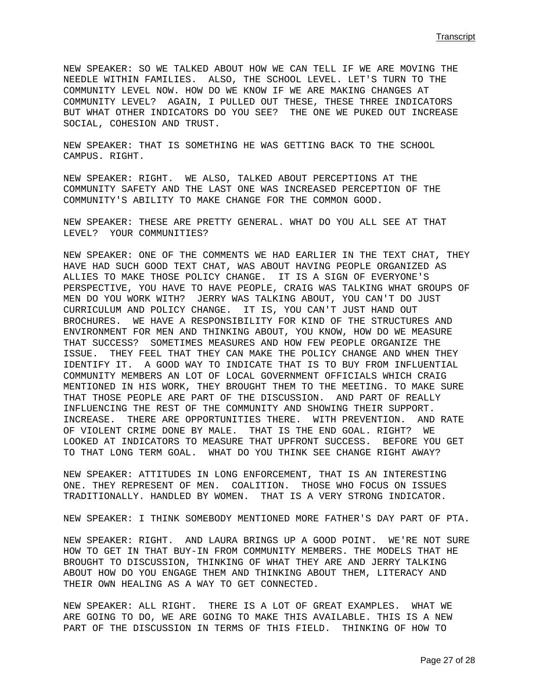NEW SPEAKER: SO WE TALKED ABOUT HOW WE CAN TELL IF WE ARE MOVING THE NEEDLE WITHIN FAMILIES. ALSO, THE SCHOOL LEVEL. LET'S TURN TO THE COMMUNITY LEVEL NOW. HOW DO WE KNOW IF WE ARE MAKING CHANGES AT COMMUNITY LEVEL? AGAIN, I PULLED OUT THESE, THESE THREE INDICATORS BUT WHAT OTHER INDICATORS DO YOU SEE? THE ONE WE PUKED OUT INCREASE SOCIAL, COHESION AND TRUST.

NEW SPEAKER: THAT IS SOMETHING HE WAS GETTING BACK TO THE SCHOOL CAMPUS. RIGHT.

NEW SPEAKER: RIGHT. WE ALSO, TALKED ABOUT PERCEPTIONS AT THE COMMUNITY SAFETY AND THE LAST ONE WAS INCREASED PERCEPTION OF THE COMMUNITY'S ABILITY TO MAKE CHANGE FOR THE COMMON GOOD.

NEW SPEAKER: THESE ARE PRETTY GENERAL. WHAT DO YOU ALL SEE AT THAT LEVEL? YOUR COMMUNITIES?

NEW SPEAKER: ONE OF THE COMMENTS WE HAD EARLIER IN THE TEXT CHAT, THEY HAVE HAD SUCH GOOD TEXT CHAT, WAS ABOUT HAVING PEOPLE ORGANIZED AS ALLIES TO MAKE THOSE POLICY CHANGE. IT IS A SIGN OF EVERYONE'S PERSPECTIVE, YOU HAVE TO HAVE PEOPLE, CRAIG WAS TALKING WHAT GROUPS OF MEN DO YOU WORK WITH? JERRY WAS TALKING ABOUT, YOU CAN'T DO JUST CURRICULUM AND POLICY CHANGE. IT IS, YOU CAN'T JUST HAND OUT BROCHURES. WE HAVE A RESPONSIBILITY FOR KIND OF THE STRUCTURES AND ENVIRONMENT FOR MEN AND THINKING ABOUT, YOU KNOW, HOW DO WE MEASURE THAT SUCCESS? SOMETIMES MEASURES AND HOW FEW PEOPLE ORGANIZE THE ISSUE. THEY FEEL THAT THEY CAN MAKE THE POLICY CHANGE AND WHEN THEY IDENTIFY IT. A GOOD WAY TO INDICATE THAT IS TO BUY FROM INFLUENTIAL COMMUNITY MEMBERS AN LOT OF LOCAL GOVERNMENT OFFICIALS WHICH CRAIG MENTIONED IN HIS WORK, THEY BROUGHT THEM TO THE MEETING. TO MAKE SURE THAT THOSE PEOPLE ARE PART OF THE DISCUSSION. AND PART OF REALLY INFLUENCING THE REST OF THE COMMUNITY AND SHOWING THEIR SUPPORT. INCREASE. THERE ARE OPPORTUNITIES THERE. WITH PREVENTION. AND RATE OF VIOLENT CRIME DONE BY MALE. THAT IS THE END GOAL. RIGHT? WE LOOKED AT INDICATORS TO MEASURE THAT UPFRONT SUCCESS. BEFORE YOU GET TO THAT LONG TERM GOAL. WHAT DO YOU THINK SEE CHANGE RIGHT AWAY?

NEW SPEAKER: ATTITUDES IN LONG ENFORCEMENT, THAT IS AN INTERESTING ONE. THEY REPRESENT OF MEN. COALITION. THOSE WHO FOCUS ON ISSUES TRADITIONALLY. HANDLED BY WOMEN. THAT IS A VERY STRONG INDICATOR.

NEW SPEAKER: I THINK SOMEBODY MENTIONED MORE FATHER'S DAY PART OF PTA.

NEW SPEAKER: RIGHT. AND LAURA BRINGS UP A GOOD POINT. WE'RE NOT SURE HOW TO GET IN THAT BUY-IN FROM COMMUNITY MEMBERS. THE MODELS THAT HE BROUGHT TO DISCUSSION, THINKING OF WHAT THEY ARE AND JERRY TALKING ABOUT HOW DO YOU ENGAGE THEM AND THINKING ABOUT THEM, LITERACY AND THEIR OWN HEALING AS A WAY TO GET CONNECTED.

NEW SPEAKER: ALL RIGHT. THERE IS A LOT OF GREAT EXAMPLES. WHAT WE ARE GOING TO DO, WE ARE GOING TO MAKE THIS AVAILABLE. THIS IS A NEW PART OF THE DISCUSSION IN TERMS OF THIS FIELD. THINKING OF HOW TO